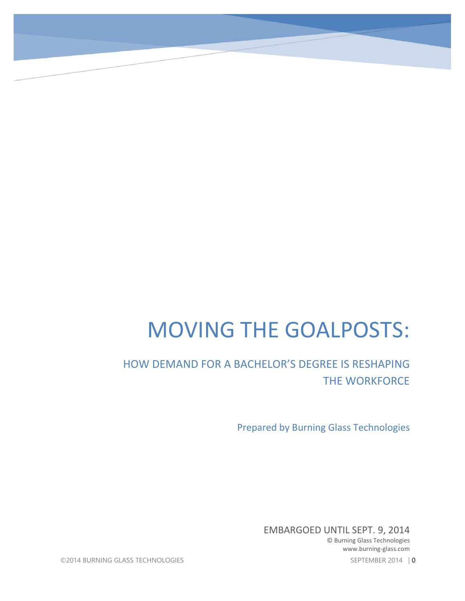# MOVING THE GOALPOSTS:

## HOW DEMAND FOR A BACHELOR'S DEGREE IS RESHAPING THE WORKFORCE

Prepared by Burning Glass Technologies

EMBARGOED UNTIL SEPT. 9, 2014

© Burning Glass Technologies www.burning-glass.com

©2014 BURNING GLASS TECHNOLOGIES SEPTEMBER 2014 | 0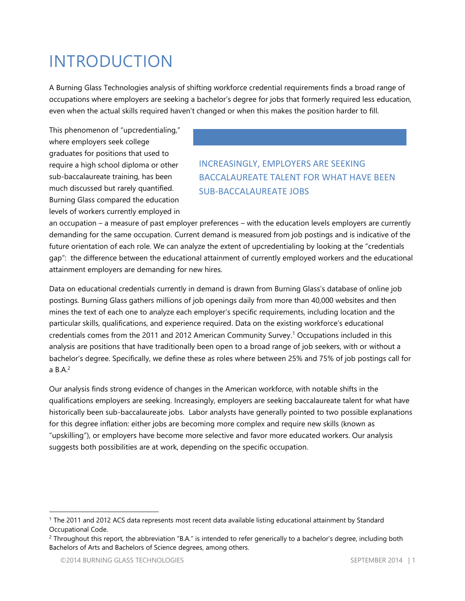## INTRODUCTION

A Burning Glass Technologies analysis of shifting workforce credential requirements finds a broad range of occupations where employers are seeking a bachelor's degree for jobs that formerly required less education, even when the actual skills required haven't changed or when this makes the position harder to fill.

This phenomenon of "upcredentialing," where employers seek college graduates for positions that used to require a high school diploma or other sub-baccalaureate training, has been much discussed but rarely quantified. Burning Glass compared the education levels of workers currently employed in

### INCREASINGLY, EMPLOYERS ARE SEEKING BACCALAUREATE TALENT FOR WHAT HAVE BEEN SUB-BACCALAUREATE JOBS

an occupation – a measure of past employer preferences – with the education levels employers are currently demanding for the same occupation. Current demand is measured from job postings and is indicative of the future orientation of each role. We can analyze the extent of upcredentialing by looking at the "credentials gap": the difference between the educational attainment of currently employed workers and the educational attainment employers are demanding for new hires.

Data on educational credentials currently in demand is drawn from Burning Glass's database of online job postings. Burning Glass gathers millions of job openings daily from more than 40,000 websites and then mines the text of each one to analyze each employer's specific requirements, including location and the particular skills, qualifications, and experience required. Data on the existing workforce's educational credentials comes from the 2011 and 2012 American Community Survey. <sup>1</sup> Occupations included in this analysis are positions that have traditionally been open to a broad range of job seekers, with or without a bachelor's degree. Specifically, we define these as roles where between 25% and 75% of job postings call for a B.A. 2

Our analysis finds strong evidence of changes in the American workforce, with notable shifts in the qualifications employers are seeking. Increasingly, employers are seeking baccalaureate talent for what have historically been sub-baccalaureate jobs. Labor analysts have generally pointed to two possible explanations for this degree inflation: either jobs are becoming more complex and require new skills (known as "upskilling"), or employers have become more selective and favor more educated workers. Our analysis suggests both possibilities are at work, depending on the specific occupation.

<sup>&</sup>lt;sup>1</sup> The 2011 and 2012 ACS data represents most recent data available listing educational attainment by Standard Occupational Code.

<sup>&</sup>lt;sup>2</sup> Throughout this report, the abbreviation "B.A." is intended to refer generically to a bachelor's degree, including both Bachelors of Arts and Bachelors of Science degrees, among others.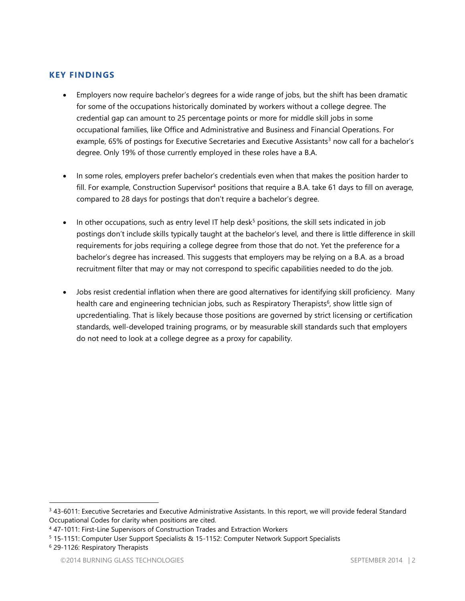#### **KEY FINDINGS**

- Employers now require bachelor's degrees for a wide range of jobs, but the shift has been dramatic for some of the occupations historically dominated by workers without a college degree. The credential gap can amount to 25 percentage points or more for middle skill jobs in some occupational families, like Office and Administrative and Business and Financial Operations. For example, 65% of postings for Executive Secretaries and Executive Assistants<sup>3</sup> now call for a bachelor's degree. Only 19% of those currently employed in these roles have a B.A.
- In some roles, employers prefer bachelor's credentials even when that makes the position harder to fill. For example, Construction Supervisor<sup>4</sup> positions that require a B.A. take 61 days to fill on average, compared to 28 days for postings that don't require a bachelor's degree.
- In other occupations, such as entry level IT help desk<sup>5</sup> positions, the skill sets indicated in job postings don't include skills typically taught at the bachelor's level, and there is little difference in skill requirements for jobs requiring a college degree from those that do not. Yet the preference for a bachelor's degree has increased. This suggests that employers may be relying on a B.A. as a broad recruitment filter that may or may not correspond to specific capabilities needed to do the job.
- Jobs resist credential inflation when there are good alternatives for identifying skill proficiency. Many health care and engineering technician jobs, such as Respiratory Therapists<sup>6</sup>, show little sign of upcredentialing. That is likely because those positions are governed by strict licensing or certification standards, well-developed training programs, or by measurable skill standards such that employers do not need to look at a college degree as a proxy for capability.

<sup>&</sup>lt;sup>3</sup> 43-6011: Executive Secretaries and Executive Administrative Assistants. In this report, we will provide federal Standard Occupational Codes for clarity when positions are cited.

<sup>4</sup> 47-1011: First-Line Supervisors of Construction Trades and Extraction Workers

<sup>5</sup> 15-1151: Computer User Support Specialists & 15-1152: Computer Network Support Specialists

<sup>6</sup> 29-1126: Respiratory Therapists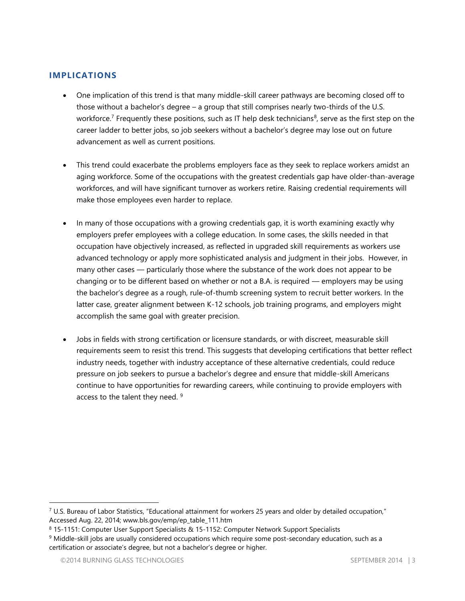#### **IMPLICATIONS**

- One implication of this trend is that many middle-skill career pathways are becoming closed off to those without a bachelor's degree – a group that still comprises nearly two-thirds of the U.S. workforce.<sup>7</sup> Frequently these positions, such as IT help desk technicians<sup>8</sup>, serve as the first step on the career ladder to better jobs, so job seekers without a bachelor's degree may lose out on future advancement as well as current positions.
- This trend could exacerbate the problems employers face as they seek to replace workers amidst an aging workforce. Some of the occupations with the greatest credentials gap have older-than-average workforces, and will have significant turnover as workers retire. Raising credential requirements will make those employees even harder to replace.
- In many of those occupations with a growing credentials gap, it is worth examining exactly why employers prefer employees with a college education. In some cases, the skills needed in that occupation have objectively increased, as reflected in upgraded skill requirements as workers use advanced technology or apply more sophisticated analysis and judgment in their jobs. However, in many other cases — particularly those where the substance of the work does not appear to be changing or to be different based on whether or not a B.A. is required — employers may be using the bachelor's degree as a rough, rule-of-thumb screening system to recruit better workers. In the latter case, greater alignment between K-12 schools, job training programs, and employers might accomplish the same goal with greater precision.
- Jobs in fields with strong certification or licensure standards, or with discreet, measurable skill requirements seem to resist this trend. This suggests that developing certifications that better reflect industry needs, together with industry acceptance of these alternative credentials, could reduce pressure on job seekers to pursue a bachelor's degree and ensure that middle-skill Americans continue to have opportunities for rewarding careers, while continuing to provide employers with access to the talent they need. <sup>9</sup>

<sup>7</sup> U.S. Bureau of Labor Statistics, "Educational attainment for workers 25 years and older by detailed occupation," Accessed Aug. 22, 2014; www.bls.gov/emp/ep\_table\_111.htm

<sup>8</sup> 15-1151: Computer User Support Specialists & 15-1152: Computer Network Support Specialists

<sup>9</sup> Middle-skill jobs are usually considered occupations which require some post-secondary education, such as a certification or associate's degree, but not a bachelor's degree or higher.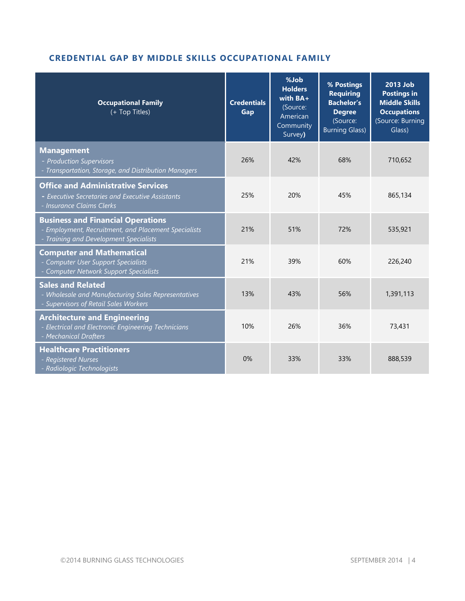#### **CREDENTIAL GAP BY MIDDLE SKILLS OCCUPATIONAL FAMILY**

| <b>Occupational Family</b><br>(+ Top Titles)                                                                                               | <b>Credentials</b><br>Gap | %Job<br><b>Holders</b><br>with $BA+$<br>(Source:<br>American<br>Community<br>Survey) | % Postings<br><b>Requiring</b><br><b>Bachelor's</b><br><b>Degree</b><br>(Source:<br><b>Burning Glass)</b> | 2013 Job<br><b>Postings in</b><br><b>Middle Skills</b><br><b>Occupations</b><br>(Source: Burning<br>Glass) |
|--------------------------------------------------------------------------------------------------------------------------------------------|---------------------------|--------------------------------------------------------------------------------------|-----------------------------------------------------------------------------------------------------------|------------------------------------------------------------------------------------------------------------|
| <b>Management</b><br>- Production Supervisors<br>- Transportation, Storage, and Distribution Managers                                      | 26%                       | 42%                                                                                  | 68%                                                                                                       | 710,652                                                                                                    |
| <b>Office and Administrative Services</b><br>- Executive Secretaries and Executive Assistants<br>- Insurance Claims Clerks                 | 25%                       | 20%                                                                                  | 45%                                                                                                       | 865,134                                                                                                    |
| <b>Business and Financial Operations</b><br>- Employment, Recruitment, and Placement Specialists<br>- Training and Development Specialists | 21%                       | 51%                                                                                  | 72%                                                                                                       | 535,921                                                                                                    |
| <b>Computer and Mathematical</b><br>- Computer User Support Specialists<br>- Computer Network Support Specialists                          | 21%                       | 39%                                                                                  | 60%                                                                                                       | 226,240                                                                                                    |
| <b>Sales and Related</b><br>- Wholesale and Manufacturing Sales Representatives<br>- Supervisors of Retail Sales Workers                   | 13%                       | 43%                                                                                  | 56%                                                                                                       | 1,391,113                                                                                                  |
| <b>Architecture and Engineering</b><br>- Electrical and Electronic Engineering Technicians<br>- Mechanical Drafters                        | 10%                       | 26%                                                                                  | 36%                                                                                                       | 73,431                                                                                                     |
| <b>Healthcare Practitioners</b><br>- Registered Nurses<br>- Radiologic Technologists                                                       | 0%                        | 33%                                                                                  | 33%                                                                                                       | 888,539                                                                                                    |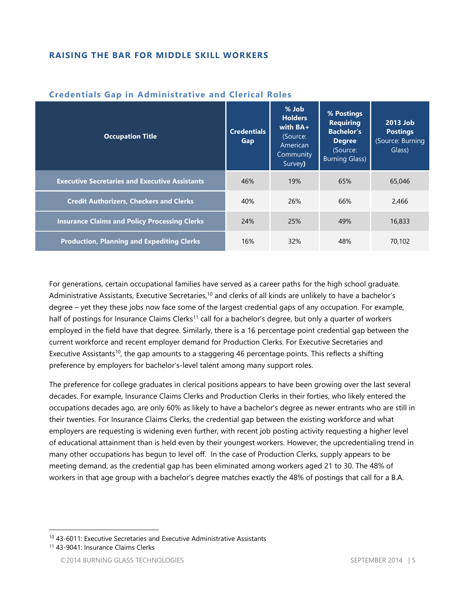#### **RAISING THE BAR FOR MIDDLE SKILL WORKERS**

| <b>Occupation Title</b>                               | <b>Credentials</b><br>Gap | % Job<br><b>Holders</b><br>with $BA+$<br>(Source:<br>American<br>Community<br>Survey) | % Postings<br><b>Requiring</b><br><b>Bachelor's</b><br><b>Degree</b><br>(Source:<br><b>Burning Glass)</b> | 2013 Job<br><b>Postings</b><br>(Source: Burning<br>Glass) |
|-------------------------------------------------------|---------------------------|---------------------------------------------------------------------------------------|-----------------------------------------------------------------------------------------------------------|-----------------------------------------------------------|
| <b>Executive Secretaries and Executive Assistants</b> | 46%                       | 19%                                                                                   | 65%                                                                                                       | 65,046                                                    |
| <b>Credit Authorizers, Checkers and Clerks</b>        | 40%                       | 26%                                                                                   | 66%                                                                                                       | 2,466                                                     |
| <b>Insurance Claims and Policy Processing Clerks</b>  | 24%                       | 25%                                                                                   | 49%                                                                                                       | 16,833                                                    |
| <b>Production, Planning and Expediting Clerks</b>     | 16%                       | 32%                                                                                   | 48%                                                                                                       | 70.102                                                    |

#### **Credentials Gap in Administrative and Clerical Roles**

For generations, certain occupational families have served as a career paths for the high school graduate. Administrative Assistants, Executive Secretaries,<sup>10</sup> and clerks of all kinds are unlikely to have a bachelor's degree – yet they these jobs now face some of the largest credential gaps of any occupation. For example, half of postings for Insurance Claims Clerks<sup>11</sup> call for a bachelor's degree, but only a quarter of workers employed in the field have that degree. Similarly, there is a 16 percentage point credential gap between the current workforce and recent employer demand for Production Clerks. For Executive Secretaries and Executive Assistants<sup>10</sup>, the gap amounts to a staggering 46 percentage points. This reflects a shifting preference by employers for bachelor's-level talent among many support roles.

The preference for college graduates in clerical positions appears to have been growing over the last several decades. For example, Insurance Claims Clerks and Production Clerks in their forties, who likely entered the occupations decades ago, are only 60% as likely to have a bachelor's degree as newer entrants who are still in their twenties. For Insurance Claims Clerks, the credential gap between the existing workforce and what employers are requesting is widening even further, with recent job posting activity requesting a higher level of educational attainment than is held even by their youngest workers. However, the upcredentialing trend in many other occupations has begun to level off. In the case of Production Clerks, supply appears to be meeting demand, as the credential gap has been eliminated among workers aged 21 to 30. The 48% of workers in that age group with a bachelor's degree matches exactly the 48% of postings that call for a B.A.

<sup>10</sup> 43-6011: Executive Secretaries and Executive Administrative Assistants

<sup>11</sup> 43-9041: Insurance Claims Clerks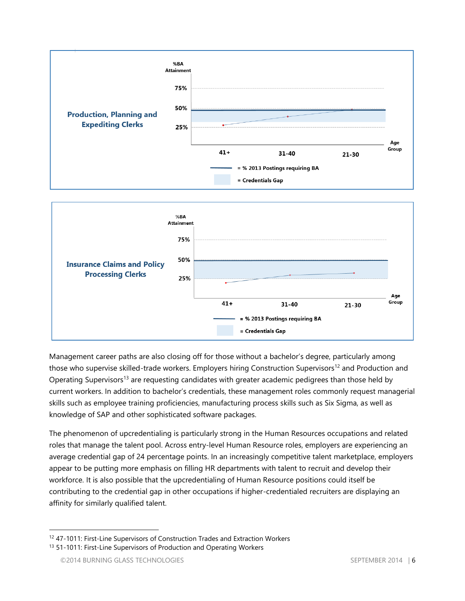

![](_page_6_Figure_1.jpeg)

Management career paths are also closing off for those without a bachelor's degree, particularly among those who supervise skilled-trade workers. Employers hiring Construction Supervisors<sup>12</sup> and Production and Operating Supervisors<sup>13</sup> are requesting candidates with greater academic pedigrees than those held by current workers. In addition to bachelor's credentials, these management roles commonly request managerial skills such as employee training proficiencies, manufacturing process skills such as Six Sigma, as well as knowledge of SAP and other sophisticated software packages.

The phenomenon of upcredentialing is particularly strong in the Human Resources occupations and related roles that manage the talent pool. Across entry-level Human Resource roles, employers are experiencing an average credential gap of 24 percentage points. In an increasingly competitive talent marketplace, employers appear to be putting more emphasis on filling HR departments with talent to recruit and develop their workforce. It is also possible that the upcredentialing of Human Resource positions could itself be contributing to the credential gap in other occupations if higher-credentialed recruiters are displaying an affinity for similarly qualified talent.

<sup>&</sup>lt;sup>12</sup> 47-1011: First-Line Supervisors of Construction Trades and Extraction Workers

<sup>&</sup>lt;sup>13</sup> 51-1011: First-Line Supervisors of Production and Operating Workers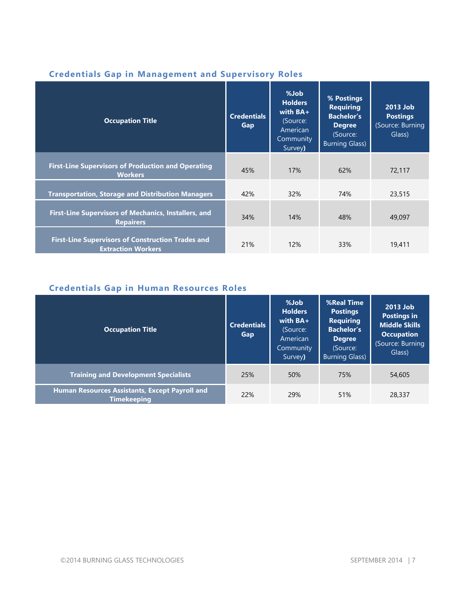| <b>Occupation Title</b>                                                               | <b>Credentials</b><br>Gap | %Job<br><b>Holders</b><br>with $BA+$<br>(Source:<br>American<br>Community<br>Survey) | % Postings<br><b>Requiring</b><br><b>Bachelor's</b><br><b>Degree</b><br>(Source:<br><b>Burning Glass)</b> | 2013 Job<br><b>Postings</b><br>(Source: Burning<br>Glass) |
|---------------------------------------------------------------------------------------|---------------------------|--------------------------------------------------------------------------------------|-----------------------------------------------------------------------------------------------------------|-----------------------------------------------------------|
| <b>First-Line Supervisors of Production and Operating</b><br><b>Workers</b>           | 45%                       | 17%                                                                                  | 62%                                                                                                       | 72,117                                                    |
| <b>Transportation, Storage and Distribution Managers</b>                              | 42%                       | 32%                                                                                  | 74%                                                                                                       | 23,515                                                    |
| <b>First-Line Supervisors of Mechanics, Installers, and</b><br><b>Repairers</b>       | 34%                       | 14%                                                                                  | 48%                                                                                                       | 49,097                                                    |
| <b>First-Line Supervisors of Construction Trades and</b><br><b>Extraction Workers</b> | 21%                       | 12%                                                                                  | 33%                                                                                                       | 19,411                                                    |

#### **Credentials Gap in Management and Supervisory Roles**

## **Credentials Gap in Human Resources Roles**

| <b>Occupation Title</b>                                              | <b>Credentials</b><br>Gap | %Job<br><b>Holders</b><br>with $BA+$<br>(Source:<br>American<br>Community<br>Survey) | <b>%Real Time</b><br><b>Postings</b><br><b>Requiring</b><br><b>Bachelor's</b><br><b>Degree</b><br>(Source:<br><b>Burning Glass)</b> | 2013 Job<br><b>Postings in</b><br><b>Middle Skills</b><br><b>Occupation</b><br>(Source: Burning<br>Glass) |
|----------------------------------------------------------------------|---------------------------|--------------------------------------------------------------------------------------|-------------------------------------------------------------------------------------------------------------------------------------|-----------------------------------------------------------------------------------------------------------|
| <b>Training and Development Specialists</b>                          | 25%                       | 50%                                                                                  | 75%                                                                                                                                 | 54,605                                                                                                    |
| Human Resources Assistants, Except Payroll and<br><b>Timekeeping</b> | 22%                       | 29%                                                                                  | 51%                                                                                                                                 | 28,337                                                                                                    |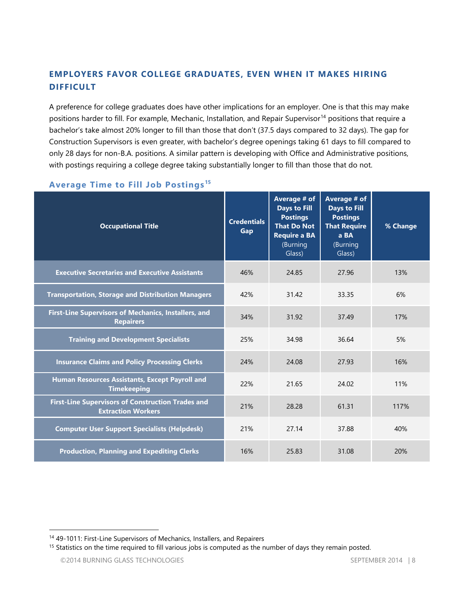#### **EMPLOYERS FAVOR COLLEGE GRADUATES, EVEN WHEN IT MAKES HIRING DIFFICULT**

A preference for college graduates does have other implications for an employer. One is that this may make positions harder to fill. For example, Mechanic, Installation, and Repair Supervisor<sup>14</sup> positions that require a bachelor's take almost 20% longer to fill than those that don't (37.5 days compared to 32 days). The gap for Construction Supervisors is even greater, with bachelor's degree openings taking 61 days to fill compared to only 28 days for non-B.A. positions. A similar pattern is developing with Office and Administrative positions, with postings requiring a college degree taking substantially longer to fill than those that do not.

| <b>Occupational Title</b>                                                             | <b>Credentials</b><br>Gap | Average # of<br><b>Days to Fill</b><br><b>Postings</b><br><b>That Do Not</b><br><b>Require a BA</b><br>(Burning<br>Glass) | Average # of<br><b>Days to Fill</b><br><b>Postings</b><br><b>That Require</b><br>a BA<br>(Burning<br>Glass) | % Change |
|---------------------------------------------------------------------------------------|---------------------------|---------------------------------------------------------------------------------------------------------------------------|-------------------------------------------------------------------------------------------------------------|----------|
| <b>Executive Secretaries and Executive Assistants</b>                                 | 46%                       | 24.85                                                                                                                     | 27.96                                                                                                       | 13%      |
| <b>Transportation, Storage and Distribution Managers</b>                              | 42%                       | 31.42                                                                                                                     | 33.35                                                                                                       | 6%       |
| First-Line Supervisors of Mechanics, Installers, and<br><b>Repairers</b>              | 34%                       | 31.92                                                                                                                     | 37.49                                                                                                       | 17%      |
| <b>Training and Development Specialists</b>                                           | 25%                       | 34.98                                                                                                                     | 36.64                                                                                                       | 5%       |
| <b>Insurance Claims and Policy Processing Clerks</b>                                  | 24%                       | 24.08                                                                                                                     | 27.93                                                                                                       | 16%      |
| Human Resources Assistants, Except Payroll and<br><b>Timekeeping</b>                  | 22%                       | 21.65                                                                                                                     | 24.02                                                                                                       | 11%      |
| <b>First-Line Supervisors of Construction Trades and</b><br><b>Extraction Workers</b> | 21%                       | 28.28                                                                                                                     | 61.31                                                                                                       | 117%     |
| <b>Computer User Support Specialists (Helpdesk)</b>                                   | 21%                       | 27.14                                                                                                                     | 37.88                                                                                                       | 40%      |
| <b>Production, Planning and Expediting Clerks</b>                                     | 16%                       | 25.83                                                                                                                     | 31.08                                                                                                       | 20%      |

#### **Average Time to Fill Job Postings <sup>15</sup>**

<sup>14</sup> 49-1011: First-Line Supervisors of Mechanics, Installers, and Repairers

<sup>&</sup>lt;sup>15</sup> Statistics on the time required to fill various jobs is computed as the number of days they remain posted.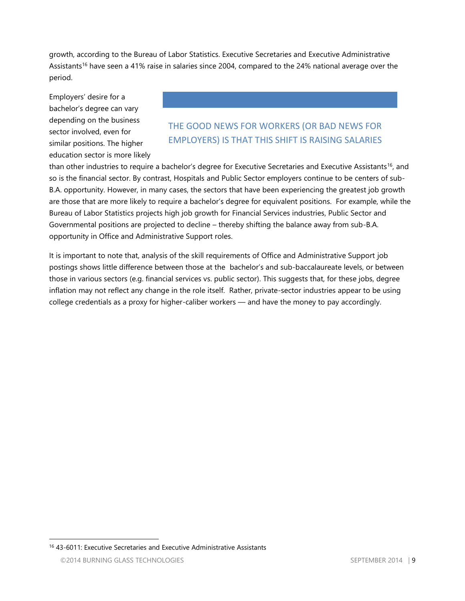growth, according to the Bureau of Labor Statistics. Executive Secretaries and Executive Administrative Assistants<sup>16</sup> have seen a 41% raise in salaries since 2004, compared to the 24% national average over the period.

Employers' desire for a bachelor's degree can vary depending on the business sector involved, even for similar positions. The higher education sector is more likely

### THE GOOD NEWS FOR WORKERS (OR BAD NEWS FOR EMPLOYERS) IS THAT THIS SHIFT IS RAISING SALARIES

than other industries to require a bachelor's degree for Executive Secretaries and Executive Assistants<sup>16</sup>, and so is the financial sector. By contrast, Hospitals and Public Sector employers continue to be centers of sub-B.A. opportunity. However, in many cases, the sectors that have been experiencing the greatest job growth are those that are more likely to require a bachelor's degree for equivalent positions. For example, while the Bureau of Labor Statistics projects high job growth for Financial Services industries, Public Sector and Governmental positions are projected to decline – thereby shifting the balance away from sub-B.A. opportunity in Office and Administrative Support roles.

It is important to note that, analysis of the skill requirements of Office and Administrative Support job postings shows little difference between those at the bachelor's and sub-baccalaureate levels, or between those in various sectors (e.g. financial services vs. public sector). This suggests that, for these jobs, degree inflation may not reflect any change in the role itself. Rather, private-sector industries appear to be using college credentials as a proxy for higher-caliber workers — and have the money to pay accordingly.

<sup>16</sup> 43-6011: Executive Secretaries and Executive Administrative Assistants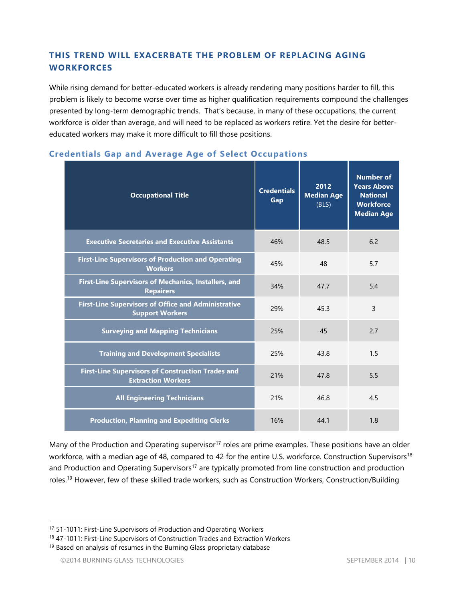#### **THIS TREND WILL EXACERBATE THE PROBLEM OF REPLACING AGING WORKFORCES**

While rising demand for better-educated workers is already rendering many positions harder to fill, this problem is likely to become worse over time as higher qualification requirements compound the challenges presented by long-term demographic trends. That's because, in many of these occupations, the current workforce is older than average, and will need to be replaced as workers retire. Yet the desire for bettereducated workers may make it more difficult to fill those positions.

| <b>Occupational Title</b>                                                             | <b>Credentials</b><br>Gap | 2012<br><b>Median Age</b><br>(BLS) | <b>Number of</b><br><b>Years Above</b><br><b>National</b><br><b>Workforce</b><br><b>Median Age</b> |
|---------------------------------------------------------------------------------------|---------------------------|------------------------------------|----------------------------------------------------------------------------------------------------|
| <b>Executive Secretaries and Executive Assistants</b>                                 | 46%                       | 48.5                               | 6.2                                                                                                |
| <b>First-Line Supervisors of Production and Operating</b><br><b>Workers</b>           | 45%                       | 48                                 | 5.7                                                                                                |
| First-Line Supervisors of Mechanics, Installers, and<br><b>Repairers</b>              | 34%                       | 47.7                               | 5.4                                                                                                |
| <b>First-Line Supervisors of Office and Administrative</b><br><b>Support Workers</b>  | 29%                       | 45.3                               | $\overline{3}$                                                                                     |
| <b>Surveying and Mapping Technicians</b>                                              | 25%                       | 45                                 | 2.7                                                                                                |
| <b>Training and Development Specialists</b>                                           | 25%                       | 43.8                               | 1.5                                                                                                |
| <b>First-Line Supervisors of Construction Trades and</b><br><b>Extraction Workers</b> | 21%                       | 47.8                               | 5.5                                                                                                |
| <b>All Engineering Technicians</b>                                                    | 21%                       | 46.8                               | 4.5                                                                                                |
| <b>Production, Planning and Expediting Clerks</b>                                     | 16%                       | 44.1                               | 1.8                                                                                                |

#### **Credentials Gap and Average Age of Select Occupations**

Many of the Production and Operating supervisor<sup>17</sup> roles are prime examples. These positions have an older workforce, with a median age of 48, compared to 42 for the entire U.S. workforce. Construction Supervisors<sup>18</sup> and Production and Operating Supervisors<sup>17</sup> are typically promoted from line construction and production roles.<sup>19</sup> However, few of these skilled trade workers, such as Construction Workers, Construction/Building

<sup>&</sup>lt;sup>17</sup> 51-1011: First-Line Supervisors of Production and Operating Workers

<sup>&</sup>lt;sup>18</sup> 47-1011: First-Line Supervisors of Construction Trades and Extraction Workers

 $19$  Based on analysis of resumes in the Burning Glass proprietary database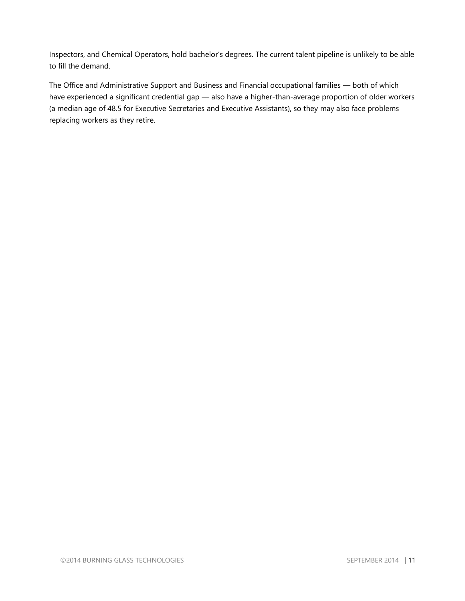Inspectors, and Chemical Operators, hold bachelor's degrees. The current talent pipeline is unlikely to be able to fill the demand.

The Office and Administrative Support and Business and Financial occupational families — both of which have experienced a significant credential gap — also have a higher-than-average proportion of older workers (a median age of 48.5 for Executive Secretaries and Executive Assistants), so they may also face problems replacing workers as they retire.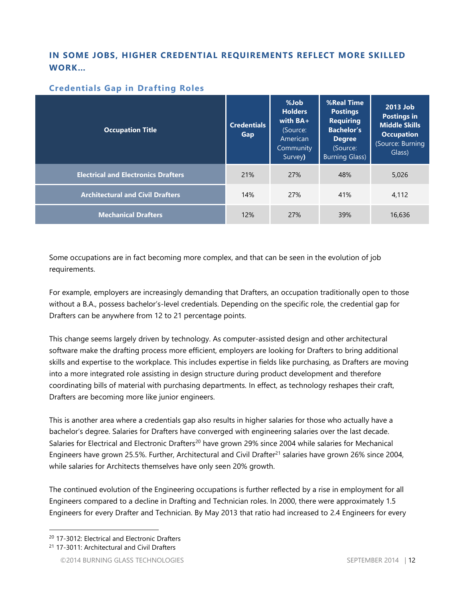#### **IN SOME JOBS, HIGHER CREDENTIAL REQUIREMENTS REFLECT MORE SKILLED WORK…**

#### **Credentials Gap in Drafting Roles**

| <b>Occupation Title</b>                    | <b>Credentials</b><br>Gap | %Job<br><b>Holders</b><br>with $BA+$<br>(Source:<br>American<br>Community<br>Survey) | <b>%Real Time</b><br><b>Postings</b><br><b>Requiring</b><br><b>Bachelor's</b><br><b>Degree</b><br>(Source:<br><b>Burning Glass)</b> | 2013 Job<br><b>Postings in</b><br><b>Middle Skills</b><br><b>Occupation</b><br>(Source: Burning<br>Glass) |  |
|--------------------------------------------|---------------------------|--------------------------------------------------------------------------------------|-------------------------------------------------------------------------------------------------------------------------------------|-----------------------------------------------------------------------------------------------------------|--|
| <b>Electrical and Electronics Drafters</b> | 21%                       | 27%                                                                                  | 48%                                                                                                                                 | 5,026                                                                                                     |  |
| <b>Architectural and Civil Drafters</b>    | 14%                       | 27%                                                                                  | 41%                                                                                                                                 | 4.112                                                                                                     |  |
| <b>Mechanical Drafters</b>                 | 12%                       | 27%                                                                                  | 39%                                                                                                                                 | 16,636                                                                                                    |  |

Some occupations are in fact becoming more complex, and that can be seen in the evolution of job requirements.

For example, employers are increasingly demanding that Drafters, an occupation traditionally open to those without a B.A., possess bachelor's-level credentials. Depending on the specific role, the credential gap for Drafters can be anywhere from 12 to 21 percentage points.

This change seems largely driven by technology. As computer-assisted design and other architectural software make the drafting process more efficient, employers are looking for Drafters to bring additional skills and expertise to the workplace. This includes expertise in fields like purchasing, as Drafters are moving into a more integrated role assisting in design structure during product development and therefore coordinating bills of material with purchasing departments. In effect, as technology reshapes their craft, Drafters are becoming more like junior engineers.

This is another area where a credentials gap also results in higher salaries for those who actually have a bachelor's degree. Salaries for Drafters have converged with engineering salaries over the last decade. Salaries for Electrical and Electronic Drafters<sup>20</sup> have grown 29% since 2004 while salaries for Mechanical Engineers have grown 25.5%. Further, Architectural and Civil Drafter<sup>21</sup> salaries have grown 26% since 2004, while salaries for Architects themselves have only seen 20% growth.

The continued evolution of the Engineering occupations is further reflected by a rise in employment for all Engineers compared to a decline in Drafting and Technician roles. In 2000, there were approximately 1.5 Engineers for every Drafter and Technician. By May 2013 that ratio had increased to 2.4 Engineers for every

 $\overline{a}$ <sup>20</sup> 17-3012: Electrical and Electronic Drafters

<sup>21</sup> 17-3011: Architectural and Civil Drafters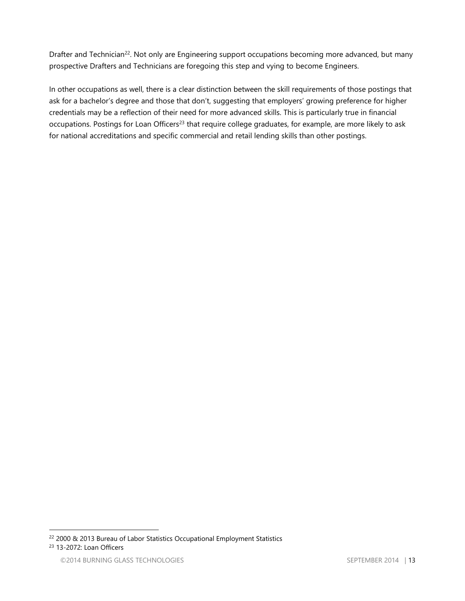Drafter and Technician<sup>22</sup>. Not only are Engineering support occupations becoming more advanced, but many prospective Drafters and Technicians are foregoing this step and vying to become Engineers.

In other occupations as well, there is a clear distinction between the skill requirements of those postings that ask for a bachelor's degree and those that don't, suggesting that employers' growing preference for higher credentials may be a reflection of their need for more advanced skills. This is particularly true in financial occupations. Postings for Loan Officers<sup>23</sup> that require college graduates, for example, are more likely to ask for national accreditations and specific commercial and retail lending skills than other postings.

<sup>22</sup> 2000 & 2013 Bureau of Labor Statistics Occupational Employment Statistics

<sup>23</sup> 13-2072: Loan Officers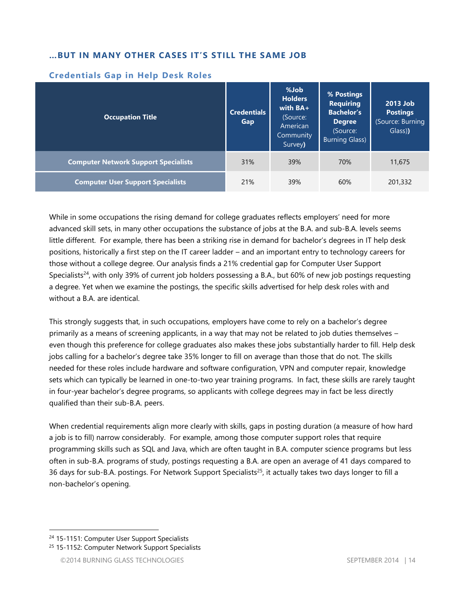#### **…BUT IN MANY OTHER CASES IT'S STILL THE SAME JOB**

| <b>Occupation Title</b>                     | <b>Credentials</b><br>Gap | %Job<br><b>Holders</b><br>with $BA+$<br>(Source:<br>American<br>Community<br>Survey) | % Postings<br><b>Requiring</b><br><b>Bachelor's</b><br><b>Degree</b><br>(Source:<br><b>Burning Glass)</b> | 2013 Job<br><b>Postings</b><br>(Source: Burning<br>Glass)) |
|---------------------------------------------|---------------------------|--------------------------------------------------------------------------------------|-----------------------------------------------------------------------------------------------------------|------------------------------------------------------------|
| <b>Computer Network Support Specialists</b> | 31%                       | 39%                                                                                  | 70%                                                                                                       | 11,675                                                     |
| <b>Computer User Support Specialists</b>    | 21%                       | 39%                                                                                  | 60%                                                                                                       | 201,332                                                    |

#### **Credentials Gap in Help Desk Roles**

While in some occupations the rising demand for college graduates reflects employers' need for more advanced skill sets, in many other occupations the substance of jobs at the B.A. and sub-B.A. levels seems little different. For example, there has been a striking rise in demand for bachelor's degrees in IT help desk positions, historically a first step on the IT career ladder – and an important entry to technology careers for those without a college degree. Our analysis finds a 21% credential gap for Computer User Support Specialists<sup>24</sup>, with only 39% of current job holders possessing a B.A., but 60% of new job postings requesting a degree. Yet when we examine the postings, the specific skills advertised for help desk roles with and without a B.A. are identical.

This strongly suggests that, in such occupations, employers have come to rely on a bachelor's degree primarily as a means of screening applicants, in a way that may not be related to job duties themselves – even though this preference for college graduates also makes these jobs substantially harder to fill. Help desk jobs calling for a bachelor's degree take 35% longer to fill on average than those that do not. The skills needed for these roles include hardware and software configuration, VPN and computer repair, knowledge sets which can typically be learned in one-to-two year training programs. In fact, these skills are rarely taught in four-year bachelor's degree programs, so applicants with college degrees may in fact be less directly qualified than their sub-B.A. peers.

When credential requirements align more clearly with skills, gaps in posting duration (a measure of how hard a job is to fill) narrow considerably. For example, among those computer support roles that require programming skills such as SQL and Java, which are often taught in B.A. computer science programs but less often in sub-B.A. programs of study, postings requesting a B.A. are open an average of 41 days compared to 36 days for sub-B.A. postings. For Network Support Specialists<sup>25</sup>, it actually takes two days longer to fill a non-bachelor's opening.

<sup>&</sup>lt;sup>24</sup> 15-1151: Computer User Support Specialists

<sup>&</sup>lt;sup>25</sup> 15-1152: Computer Network Support Specialists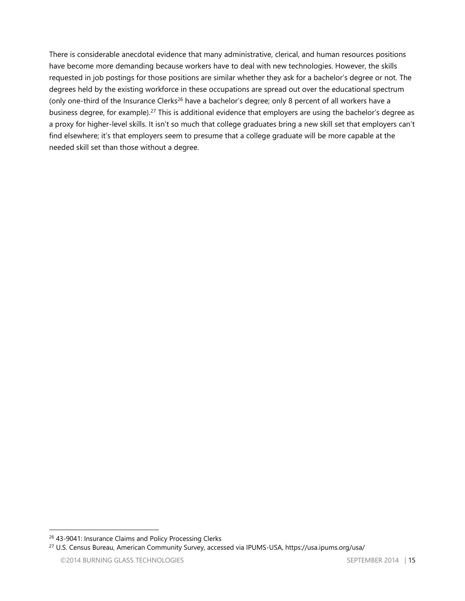There is considerable anecdotal evidence that many administrative, clerical, and human resources positions have become more demanding because workers have to deal with new technologies. However, the skills requested in job postings for those positions are similar whether they ask for a bachelor's degree or not. The degrees held by the existing workforce in these occupations are spread out over the educational spectrum (only one-third of the Insurance Clerks<sup>26</sup> have a bachelor's degree; only 8 percent of all workers have a business degree, for example).<sup>27</sup> This is additional evidence that employers are using the bachelor's degree as a proxy for higher-level skills. It isn't so much that college graduates bring a new skill set that employers can't find elsewhere; it's that employers seem to presume that a college graduate will be more capable at the needed skill set than those without a degree.

<sup>26</sup> 43-9041: Insurance Claims and Policy Processing Clerks

<sup>27</sup> U.S. Census Bureau, American Community Survey, accessed via IPUMS-USA, https://usa.ipums.org/usa/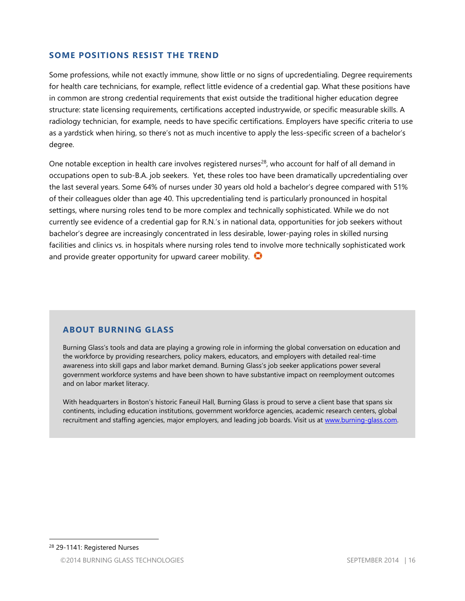#### **SOME POSITIONS RESIST THE TREND**

Some professions, while not exactly immune, show little or no signs of upcredentialing. Degree requirements for health care technicians, for example, reflect little evidence of a credential gap. What these positions have in common are strong credential requirements that exist outside the traditional higher education degree structure: state licensing requirements, certifications accepted industrywide, or specific measurable skills. A radiology technician, for example, needs to have specific certifications. Employers have specific criteria to use as a yardstick when hiring, so there's not as much incentive to apply the less-specific screen of a bachelor's degree.

One notable exception in health care involves registered nurses<sup>28</sup>, who account for half of all demand in occupations open to sub-B.A. job seekers. Yet, these roles too have been dramatically upcredentialing over the last several years. Some 64% of nurses under 30 years old hold a bachelor's degree compared with 51% of their colleagues older than age 40. This upcredentialing tend is particularly pronounced in hospital settings, where nursing roles tend to be more complex and technically sophisticated. While we do not currently see evidence of a credential gap for R.N.'s in national data, opportunities for job seekers without bachelor's degree are increasingly concentrated in less desirable, lower-paying roles in skilled nursing facilities and clinics vs. in hospitals where nursing roles tend to involve more technically sophisticated work and provide greater opportunity for upward career mobility.  $\bigcirc$ 

#### **ABOUT BURNING GLASS**

Burning Glass's tools and data are playing a growing role in informing the global conversation on education and the workforce by providing researchers, policy makers, educators, and employers with detailed real-time awareness into skill gaps and labor market demand. Burning Glass's job seeker applications power several government workforce systems and have been shown to have substantive impact on reemployment outcomes and on labor market literacy.

With headquarters in Boston's historic Faneuil Hall, Burning Glass is proud to serve a client base that spans six continents, including education institutions, government workforce agencies, academic research centers, global recruitment and staffing agencies, major employers, and leading job boards. Visit us at [www.burning-glass.com.](http://www.burning-glass.com/)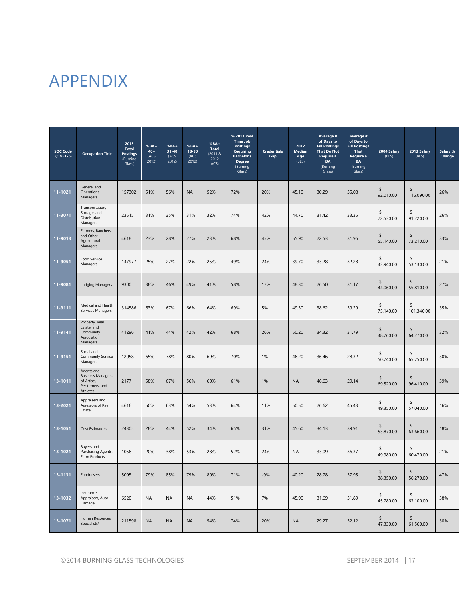## APPENDIX

| <b>SOC Code</b><br>$(ONET-6)$ | <b>Occupation Title</b>                                                              | 2013<br><b>Total</b><br><b>Postings</b><br>(Burning<br>Glass) | $%BA+$<br>$40 +$<br>(ACS<br>2012) | $%BA+$<br>$31 - 40$<br>(ACS<br>2012 | $%BA+$<br>18-30<br>(ACS<br>2012 | $%BA +$<br><b>Total</b><br>(2011 &<br>2012<br>ACS | % 2013 Real<br><b>Time Job</b><br><b>Postings</b><br><b>Requiring</b><br><b>Bachelor's</b><br><b>Degree</b><br>(Burning<br>Glass) | <b>Credentials</b><br>Gap | 2012<br>Median<br>Age<br>(BLS) | Average #<br>of Days to<br><b>Fill Postings</b><br><b>That Do Not</b><br>Require a<br><b>BA</b><br>(Burning<br>Glass) | Average #<br>of Days to<br><b>Fill Postings</b><br><b>That</b><br>Require a<br><b>BA</b><br>(Burning<br>Glass) | 2004 Salary<br>(BLS) | 2013 Salary<br>(BLS) | Salary %<br>Change |
|-------------------------------|--------------------------------------------------------------------------------------|---------------------------------------------------------------|-----------------------------------|-------------------------------------|---------------------------------|---------------------------------------------------|-----------------------------------------------------------------------------------------------------------------------------------|---------------------------|--------------------------------|-----------------------------------------------------------------------------------------------------------------------|----------------------------------------------------------------------------------------------------------------|----------------------|----------------------|--------------------|
| 11-1021                       | General and<br>Operations<br>Managers                                                | 157302                                                        | 51%                               | 56%                                 | <b>NA</b>                       | 52%                                               | 72%                                                                                                                               | 20%                       | 45.10                          | 30.29                                                                                                                 | 35.08                                                                                                          | \$<br>92,010.00      | \$<br>116,090.00     | 26%                |
| 11-3071                       | Transportation,<br>Storage, and<br>Distribution<br>Managers                          | 23515                                                         | 31%                               | 35%                                 | 31%                             | 32%                                               | 74%                                                                                                                               | 42%                       | 44.70                          | 31.42                                                                                                                 | 33.35                                                                                                          | \$<br>72,530.00      | \$<br>91,220.00      | 26%                |
| 11-9013                       | Farmers, Ranchers,<br>and Other<br>Agricultural<br>Managers                          | 4618                                                          | 23%                               | 28%                                 | 27%                             | 23%                                               | 68%                                                                                                                               | 45%                       | 55.90                          | 22.53                                                                                                                 | 31.96                                                                                                          | \$<br>55,140.00      | \$<br>73,210.00      | 33%                |
| 11-9051                       | Food Service<br>Managers                                                             | 147977                                                        | 25%                               | 27%                                 | 22%                             | 25%                                               | 49%                                                                                                                               | 24%                       | 39.70                          | 33.28                                                                                                                 | 32.28                                                                                                          | \$<br>43,940.00      | \$<br>53,130.00      | 21%                |
| 11-9081                       | <b>Lodging Managers</b>                                                              | 9300                                                          | 38%                               | 46%                                 | 49%                             | 41%                                               | 58%                                                                                                                               | 17%                       | 48.30                          | 26.50                                                                                                                 | 31.17                                                                                                          | \$<br>44.060.00      | \$<br>55,810.00      | 27%                |
| 11-9111                       | Medical and Health<br>Services Managers                                              | 314586                                                        | 63%                               | 67%                                 | 66%                             | 64%                                               | 69%                                                                                                                               | 5%                        | 49.30                          | 38.62                                                                                                                 | 39.29                                                                                                          | \$<br>75,140.00      | \$<br>101,340.00     | 35%                |
| 11-9141                       | Property, Real<br>Estate, and<br>Community<br>Association<br>Managers                | 41296                                                         | 41%                               | 44%                                 | 42%                             | 42%                                               | 68%                                                                                                                               | 26%                       | 50.20                          | 34.32                                                                                                                 | 31.79                                                                                                          | \$<br>48,760.00      | \$<br>64,270.00      | 32%                |
| 11-9151                       | Social and<br>Community Service<br>Managers                                          | 12058                                                         | 65%                               | 78%                                 | 80%                             | 69%                                               | 70%                                                                                                                               | 1%                        | 46.20                          | 36.46                                                                                                                 | 28.32                                                                                                          | \$<br>50,740.00      | \$<br>65,750.00      | 30%                |
| 13-1011                       | Agents and<br><b>Business Managers</b><br>of Artists,<br>Performers, and<br>Athletes | 2177                                                          | 58%                               | 67%                                 | 56%                             | 60%                                               | 61%                                                                                                                               | 1%                        | <b>NA</b>                      | 46.63                                                                                                                 | 29.14                                                                                                          | \$<br>69,520.00      | \$<br>96,410.00      | 39%                |
| 13-2021                       | Appraisers and<br>Assessors of Real<br>Estate                                        | 4616                                                          | 50%                               | 63%                                 | 54%                             | 53%                                               | 64%                                                                                                                               | 11%                       | 50.50                          | 26.62                                                                                                                 | 45.43                                                                                                          | \$<br>49,350.00      | \$<br>57,040.00      | 16%                |
| 13-1051                       | <b>Cost Estimators</b>                                                               | 24305                                                         | 28%                               | 44%                                 | 52%                             | 34%                                               | 65%                                                                                                                               | 31%                       | 45.60                          | 34.13                                                                                                                 | 39.91                                                                                                          | \$<br>53,870.00      | \$<br>63,660.00      | 18%                |
| 13-1021                       | Buyers and<br>Purchasing Agents,<br>Farm Products                                    | 1056                                                          | 20%                               | 38%                                 | 53%                             | 28%                                               | 52%                                                                                                                               | 24%                       | <b>NA</b>                      | 33.09                                                                                                                 | 36.37                                                                                                          | \$<br>49,980.00      | \$<br>60,470.00      | 21%                |
| 13-1131                       | Fundraisers                                                                          | 5095                                                          | 79%                               | 85%                                 | 79%                             | 80%                                               | 71%                                                                                                                               | $-9%$                     | 40.20                          | 28.78                                                                                                                 | 37.95                                                                                                          | \$<br>38,350.00      | \$<br>56,270.00      | 47%                |
| 13-1032                       | Insurance<br>Appraisers, Auto<br>Damage                                              | 6520                                                          | <b>NA</b>                         | NA                                  | <b>NA</b>                       | 44%                                               | 51%                                                                                                                               | 7%                        | 45.90                          | 31.69                                                                                                                 | 31.89                                                                                                          | \$<br>45,780.00      | \$<br>63,100.00      | 38%                |
| 13-1071                       | Human Resources<br>Specialists*                                                      | 211598                                                        | <b>NA</b>                         | <b>NA</b>                           | <b>NA</b>                       | 54%                                               | 74%                                                                                                                               | 20%                       | <b>NA</b>                      | 29.27                                                                                                                 | 32.12                                                                                                          | \$<br>47,330.00      | \$<br>61,560.00      | 30%                |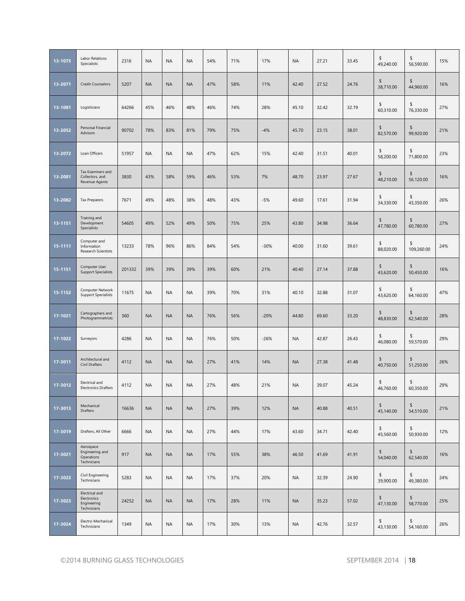| 13-1075 | Labor Relations<br>Specialists                              | 2316   | <b>NA</b> | <b>NA</b> | <b>NA</b> | 54% | 71% | 17%    | <b>NA</b> | 27.21 | 33.45 | \$<br>49,240.00 | \$<br>56,590.00  | 15% |
|---------|-------------------------------------------------------------|--------|-----------|-----------|-----------|-----|-----|--------|-----------|-------|-------|-----------------|------------------|-----|
| 13-2071 | <b>Credit Counselors</b>                                    | 5207   | <b>NA</b> | <b>NA</b> | <b>NA</b> | 47% | 58% | 11%    | 42.40     | 27.52 | 24.76 | \$<br>38,710.00 | \$<br>44,960.00  | 16% |
| 13-1081 | Logisticians                                                | 64266  | 45%       | 46%       | 48%       | 46% | 74% | 28%    | 45.10     | 32.42 | 32.19 | \$<br>60,310.00 | \$<br>76,330.00  | 27% |
| 13-2052 | Personal Financial<br>Advisors                              | 90702  | 78%       | 83%       | 81%       | 79% | 75% | $-4%$  | 45.70     | 23.15 | 38.01 | \$<br>82,570.00 | \$<br>99,920.00  | 21% |
| 13-2072 | Loan Officers                                               | 51957  | <b>NA</b> | <b>NA</b> | <b>NA</b> | 47% | 62% | 15%    | 42.40     | 31.51 | 40.01 | \$<br>58,200.00 | \$<br>71,800.00  | 23% |
| 13-2081 | Tax Examiners and<br>Collectors, and<br>Revenue Agents      | 3830   | 43%       | 58%       | 59%       | 46% | 53% | 7%     | 48.70     | 23.97 | 27.67 | \$<br>48,210.00 | \$<br>56,120.00  | 16% |
| 13-2082 | <b>Tax Preparers</b>                                        | 7671   | 49%       | 48%       | 38%       | 48% | 43% | $-5%$  | 49.60     | 17.61 | 31.94 | \$<br>34,330.00 | \$<br>43,350.00  | 26% |
| 13-1151 | Training and<br>Development<br>Specialists                  | 54605  | 49%       | 52%       | 49%       | 50% | 75% | 25%    | 43.80     | 34.98 | 36.64 | \$<br>47,780.00 | \$<br>60,780.00  | 27% |
| 15-1111 | Computer and<br>Information<br><b>Research Scientists</b>   | 13233  | 78%       | 96%       | 86%       | 84% | 54% | $-30%$ | 40.00     | 31.60 | 39.61 | \$<br>88,020.00 | \$<br>109,260.00 | 24% |
| 15-1151 | Computer User<br><b>Support Specialists</b>                 | 201332 | 39%       | 39%       | 39%       | 39% | 60% | 21%    | 40.40     | 27.14 | 37.88 | \$<br>43,620.00 | \$<br>50,450.00  | 16% |
| 15-1152 | Computer Network<br><b>Support Specialists</b>              | 11675  | <b>NA</b> | <b>NA</b> | <b>NA</b> | 39% | 70% | 31%    | 40.10     | 32.88 | 31.07 | \$<br>43,620.00 | \$<br>64,160.00  | 47% |
| 17-1021 | Cartographers and<br>Photogrammetrists                      | 360    | <b>NA</b> | <b>NA</b> | <b>NA</b> | 76% | 56% | $-20%$ | 44.80     | 69.60 | 33.20 | \$<br>48,830.00 | \$<br>62,540.00  | 28% |
| 17-1022 | Surveyors                                                   | 4286   | <b>NA</b> | <b>NA</b> | <b>NA</b> | 76% | 50% | $-26%$ | <b>NA</b> | 42.87 | 26.43 | \$<br>46,080.00 | \$<br>59,570.00  | 29% |
| 17-3011 | Architectural and<br>Civil Drafters                         | 4112   | <b>NA</b> | <b>NA</b> | <b>NA</b> | 27% | 41% | 14%    | <b>NA</b> | 27.38 | 41.48 | \$<br>40,750.00 | \$<br>51,250.00  | 26% |
| 17-3012 | Electrical and<br><b>Electronics Drafters</b>               | 4112   | <b>NA</b> | <b>NA</b> | <b>NA</b> | 27% | 48% | 21%    | <b>NA</b> | 39.07 | 45.24 | \$<br>46,760.00 | \$<br>60,350.00  | 29% |
| 17-3013 | Mechanical<br>Drafters                                      | 16636  | <b>NA</b> | <b>NA</b> | <b>NA</b> | 27% | 39% | 12%    | <b>NA</b> | 40.88 | 40.51 | \$<br>45,140.00 | \$<br>54,510.00  | 21% |
| 17-3019 | Drafters, All Other                                         | 6666   | <b>NA</b> | <b>NA</b> | <b>NA</b> | 27% | 44% | 17%    | 43.60     | 34.71 | 42.40 | \$<br>45,560.00 | \$<br>50,930.00  | 12% |
| 17-3021 | Aerospace<br>Engineering and<br>Operations<br>Technicians   | 917    | <b>NA</b> | <b>NA</b> | <b>NA</b> | 17% | 55% | 38%    | 46.50     | 41.69 | 41.91 | \$<br>54,040.00 | \$<br>62,540.00  | 16% |
| 17-3022 | Civil Engineering<br>Technicians                            | 5283   | <b>NA</b> | <b>NA</b> | <b>NA</b> | 17% | 37% | 20%    | <b>NA</b> | 32.39 | 24.90 | \$<br>39,900.00 | \$<br>49,380.00  | 24% |
| 17-3023 | Electrical and<br>Electronics<br>Engineering<br>Technicians | 24252  | <b>NA</b> | <b>NA</b> | <b>NA</b> | 17% | 28% | 11%    | <b>NA</b> | 35.23 | 57.02 | \$<br>47,130.00 | \$<br>58,770.00  | 25% |
| 17-3024 | Electro-Mechanical<br>Technicians                           | 1349   | <b>NA</b> | <b>NA</b> | <b>NA</b> | 17% | 30% | 13%    | <b>NA</b> | 42.76 | 32.57 | \$<br>43,130.00 | \$<br>54,160.00  | 26% |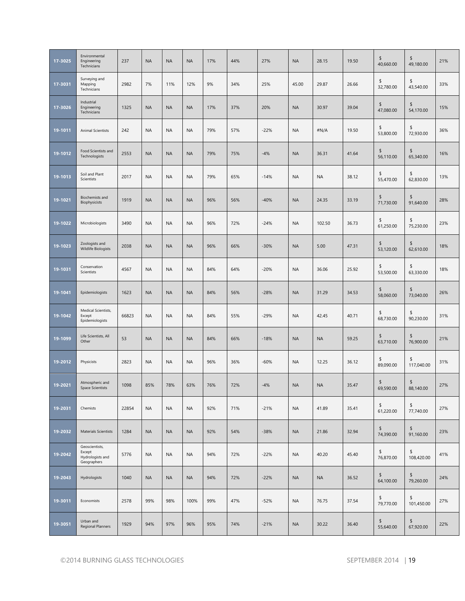| 17-3025 | Environmental<br>Engineering<br>Technicians                 | 237   | <b>NA</b> | <b>NA</b> | <b>NA</b> | 17% | 44% | 27%    | <b>NA</b> | 28.15     | 19.50 | \$<br>40,660.00 | \$<br>49,180.00  | 21% |
|---------|-------------------------------------------------------------|-------|-----------|-----------|-----------|-----|-----|--------|-----------|-----------|-------|-----------------|------------------|-----|
| 17-3031 | Surveying and<br>Mapping<br>Technicians                     | 2982  | 7%        | 11%       | 12%       | 9%  | 34% | 25%    | 45.00     | 29.87     | 26.66 | \$<br>32,780.00 | \$<br>43,540.00  | 33% |
| 17-3026 | Industrial<br>Engineering<br>Technicians                    | 1325  | <b>NA</b> | <b>NA</b> | <b>NA</b> | 17% | 37% | 20%    | <b>NA</b> | 30.97     | 39.04 | \$<br>47,080.00 | \$<br>54,170.00  | 15% |
| 19-1011 | <b>Animal Scientists</b>                                    | 242   | <b>NA</b> | <b>NA</b> | <b>NA</b> | 79% | 57% | $-22%$ | <b>NA</b> | #N/A      | 19.50 | \$<br>53,800.00 | \$<br>72,930.00  | 36% |
| 19-1012 | Food Scientists and<br>Technologists                        | 2553  | <b>NA</b> | <b>NA</b> | <b>NA</b> | 79% | 75% | $-4%$  | <b>NA</b> | 36.31     | 41.64 | \$<br>56,110.00 | \$<br>65,340.00  | 16% |
| 19-1013 | Soil and Plant<br>Scientists                                | 2017  | <b>NA</b> | <b>NA</b> | <b>NA</b> | 79% | 65% | $-14%$ | <b>NA</b> | <b>NA</b> | 38.12 | \$<br>55,470.00 | \$<br>62,830.00  | 13% |
| 19-1021 | Biochemists and<br>Biophysicists                            | 1919  | <b>NA</b> | <b>NA</b> | <b>NA</b> | 96% | 56% | $-40%$ | <b>NA</b> | 24.35     | 33.19 | \$<br>71,730.00 | \$<br>91,640.00  | 28% |
| 19-1022 | Microbiologists                                             | 3490  | <b>NA</b> | <b>NA</b> | <b>NA</b> | 96% | 72% | $-24%$ | <b>NA</b> | 102.50    | 36.73 | \$<br>61,250.00 | \$<br>75,230.00  | 23% |
| 19-1023 | Zoologists and<br>Wildlife Biologists                       | 2038  | <b>NA</b> | <b>NA</b> | <b>NA</b> | 96% | 66% | $-30%$ | <b>NA</b> | 5.00      | 47.31 | \$<br>53,120.00 | \$<br>62,610.00  | 18% |
| 19-1031 | Conservation<br>Scientists                                  | 4567  | <b>NA</b> | <b>NA</b> | <b>NA</b> | 84% | 64% | $-20%$ | <b>NA</b> | 36.06     | 25.92 | \$<br>53,500.00 | \$<br>63,330.00  | 18% |
| 19-1041 | Epidemiologists                                             | 1623  | <b>NA</b> | <b>NA</b> | <b>NA</b> | 84% | 56% | $-28%$ | <b>NA</b> | 31.29     | 34.53 | \$<br>58,060.00 | \$<br>73,040.00  | 26% |
| 19-1042 | Medical Scientists,<br>Except<br>Epidemiologists            | 66823 | <b>NA</b> | <b>NA</b> | <b>NA</b> | 84% | 55% | $-29%$ | <b>NA</b> | 42.45     | 40.71 | \$<br>68,730.00 | \$<br>90,230.00  | 31% |
| 19-1099 | Life Scientists, All<br>Other                               | 53    | <b>NA</b> | <b>NA</b> | <b>NA</b> | 84% | 66% | $-18%$ | <b>NA</b> | <b>NA</b> | 59.25 | \$<br>63,710.00 | \$<br>76,900.00  | 21% |
| 19-2012 | Physicists                                                  | 2823  | <b>NA</b> | <b>NA</b> | <b>NA</b> | 96% | 36% | $-60%$ | <b>NA</b> | 12.25     | 36.12 | \$<br>89,090.00 | \$<br>117,040.00 | 31% |
| 19-2021 | Atmospheric and<br><b>Space Scientists</b>                  | 1098  | 85%       | 78%       | 63%       | 76% | 72% | $-4%$  | <b>NA</b> | <b>NA</b> | 35.47 | \$<br>69,590.00 | \$<br>88,140.00  | 27% |
| 19-2031 | Chemists                                                    | 22854 | <b>NA</b> | <b>NA</b> | <b>NA</b> | 92% | 71% | $-21%$ | <b>NA</b> | 41.89     | 35.41 | \$<br>61,220.00 | \$<br>77,740.00  | 27% |
| 19-2032 | <b>Materials Scientists</b>                                 | 1284  | <b>NA</b> | <b>NA</b> | <b>NA</b> | 92% | 54% | $-38%$ | <b>NA</b> | 21.86     | 32.94 | \$<br>74,390.00 | \$<br>91,160.00  | 23% |
| 19-2042 | Geoscientists,<br>Except<br>Hydrologists and<br>Geographers | 5776  | <b>NA</b> | <b>NA</b> | <b>NA</b> | 94% | 72% | $-22%$ | <b>NA</b> | 40.20     | 45.40 | \$<br>76,870.00 | \$<br>108,420.00 | 41% |
| 19-2043 | Hydrologists                                                | 1040  | <b>NA</b> | <b>NA</b> | <b>NA</b> | 94% | 72% | $-22%$ | <b>NA</b> | <b>NA</b> | 36.52 | \$<br>64,100.00 | \$<br>79,260.00  | 24% |
| 19-3011 | Economists                                                  | 2578  | 99%       | 98%       | 100%      | 99% | 47% | $-52%$ | <b>NA</b> | 76.75     | 37.54 | \$<br>79,770.00 | \$<br>101,450.00 | 27% |
| 19-3051 | Urban and<br><b>Regional Planners</b>                       | 1929  | 94%       | 97%       | 96%       | 95% | 74% | $-21%$ | <b>NA</b> | 30.22     | 36.40 | \$<br>55,640.00 | \$<br>67,920.00  | 22% |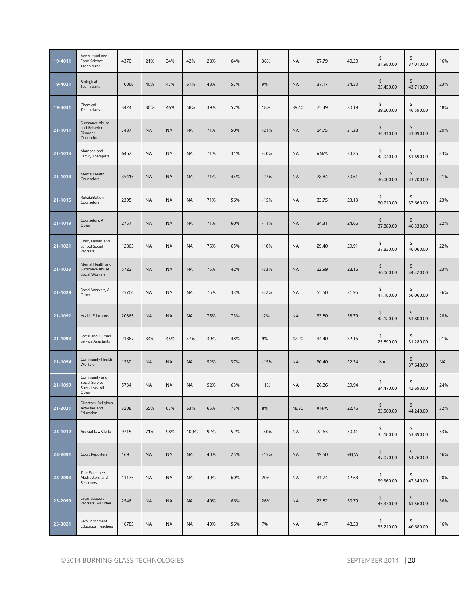| 19-4011 | Agricultural and<br>Food Science<br>Technicians              | 4370  | 21%       | 34%       | 42%       | 28% | 64% | 36%    | <b>NA</b> | 27.79 | 40.20 | \$<br>31,980.00 | \$<br>37,010.00 | 16%       |
|---------|--------------------------------------------------------------|-------|-----------|-----------|-----------|-----|-----|--------|-----------|-------|-------|-----------------|-----------------|-----------|
| 19-4021 | Biological<br>Technicians                                    | 10068 | 40%       | 47%       | 61%       | 48% | 57% | 9%     | <b>NA</b> | 37.17 | 34.50 | \$<br>35,450.00 | \$<br>43,710.00 | 23%       |
| 19-4031 | Chemical<br>Technicians                                      | 3424  | 30%       | 46%       | 58%       | 39% | 57% | 18%    | 39.40     | 25.49 | 30.19 | \$<br>39,600.00 | \$<br>46,590.00 | 18%       |
| 21-1011 | Substance Abuse<br>and Behavioral<br>Disorder<br>Counselors  | 7487  | <b>NA</b> | <b>NA</b> | <b>NA</b> | 71% | 50% | $-21%$ | <b>NA</b> | 24.75 | 31.38 | \$<br>34,310.00 | \$<br>41,090.00 | 20%       |
| 21-1013 | Marriage and<br>Family Therapists                            | 6462  | <b>NA</b> | <b>NA</b> | <b>NA</b> | 71% | 31% | $-40%$ | <b>NA</b> | #N/A  | 34.26 | \$<br>42,040.00 | \$<br>51,690.00 | 23%       |
| 21-1014 | Mental Health<br>Counselors                                  | 35415 | <b>NA</b> | <b>NA</b> | <b>NA</b> | 71% | 44% | $-27%$ | <b>NA</b> | 28.84 | 30.61 | \$<br>36,000.00 | \$<br>43,700.00 | 21%       |
| 21-1015 | Rehabilitation<br>Counselors                                 | 2395  | <b>NA</b> | <b>NA</b> | <b>NA</b> | 71% | 56% | $-15%$ | <b>NA</b> | 33.75 | 23.13 | \$<br>30,710.00 | \$<br>37,660.00 | 23%       |
| 21-1019 | Counselors, All<br>Other                                     | 2757  | <b>NA</b> | <b>NA</b> | <b>NA</b> | 71% | 60% | $-11%$ | <b>NA</b> | 34.31 | 24.66 | \$<br>37,880.00 | \$<br>46,330.00 | 22%       |
| 21-1021 | Child, Family, and<br>School Social<br>Workers               | 12865 | <b>NA</b> | <b>NA</b> | <b>NA</b> | 75% | 65% | $-10%$ | <b>NA</b> | 29.40 | 29.91 | \$<br>37,830.00 | \$<br>46,060.00 | 22%       |
| 21-1023 | Mental Health and<br>Substance Abuse<br>Social Workers       | 5722  | <b>NA</b> | <b>NA</b> | <b>NA</b> | 75% | 42% | $-33%$ | <b>NA</b> | 22.99 | 28.16 | \$<br>36,060.00 | \$<br>44,420.00 | 23%       |
| 21-1029 | Social Workers, All<br>Other                                 | 25704 | <b>NA</b> | <b>NA</b> | <b>NA</b> | 75% | 33% | $-42%$ | <b>NA</b> | 55.50 | 31.96 | \$<br>41,180.00 | \$<br>56,060.00 | 36%       |
| 21-1091 | <b>Health Educators</b>                                      | 20865 | <b>NA</b> | <b>NA</b> | <b>NA</b> | 75% | 73% | $-2%$  | <b>NA</b> | 33.80 | 38.79 | \$<br>42,120.00 | \$<br>53,800.00 | 28%       |
| 21-1093 | Social and Human<br>Service Assistants                       | 21867 | 34%       | 45%       | 47%       | 39% | 48% | 9%     | 42.20     | 34.40 | 32.16 | \$<br>25,890.00 | \$<br>31,280.00 | 21%       |
| 21-1094 | Community Health<br>Workers                                  | 1330  | <b>NA</b> | <b>NA</b> | <b>NA</b> | 52% | 37% | $-15%$ | <b>NA</b> | 30.40 | 22.34 | <b>NA</b>       | \$<br>37,640.00 | <b>NA</b> |
| 21-1099 | Community and<br>Social Service<br>Specialists, All<br>Other | 5734  | <b>NA</b> | <b>NA</b> | <b>NA</b> | 52% | 63% | 11%    | <b>NA</b> | 26.86 | 29.94 | \$<br>34,470.00 | \$<br>42,690.00 | 24%       |
| 21-2021 | Directors, Religious<br>Activities and<br>Education          | 3208  | 65%       | 67%       | 63%       | 65% | 73% | 8%     | 48.30     | #N/A  | 22.76 | \$<br>33,560.00 | \$<br>44,240.00 | 32%       |
| 23-1012 | Judicial Law Clerks                                          | 9715  | 71%       | 98%       | 100%      | 92% | 52% | $-40%$ | <b>NA</b> | 22.63 | 30.41 | \$<br>35,180.00 | \$<br>53,890.00 | 53%       |
| 23-2091 | Court Reporters                                              | 169   | <b>NA</b> | <b>NA</b> | <b>NA</b> | 40% | 25% | $-15%$ | <b>NA</b> | 19.50 | #N/A  | \$<br>47,070.00 | \$<br>54,760.00 | 16%       |
| 23-2093 | Title Examiners,<br>Abstractors, and<br>Searchers            | 11175 | <b>NA</b> | <b>NA</b> | <b>NA</b> | 40% | 60% | 20%    | <b>NA</b> | 31.74 | 42.68 | \$<br>39,360.00 | \$<br>47,340.00 | 20%       |
| 23-2099 | Legal Support<br>Workers, All Other                          | 2546  | <b>NA</b> | <b>NA</b> | <b>NA</b> | 40% | 66% | 26%    | <b>NA</b> | 23.82 | 30.79 | \$<br>45,330.00 | \$<br>61,560.00 | 36%       |
| 25-3021 | Self-Enrichment<br><b>Education Teachers</b>                 | 16785 | <b>NA</b> | <b>NA</b> | <b>NA</b> | 49% | 56% | 7%     | <b>NA</b> | 44.17 | 48.28 | \$<br>35,210.00 | \$<br>40,680.00 | 16%       |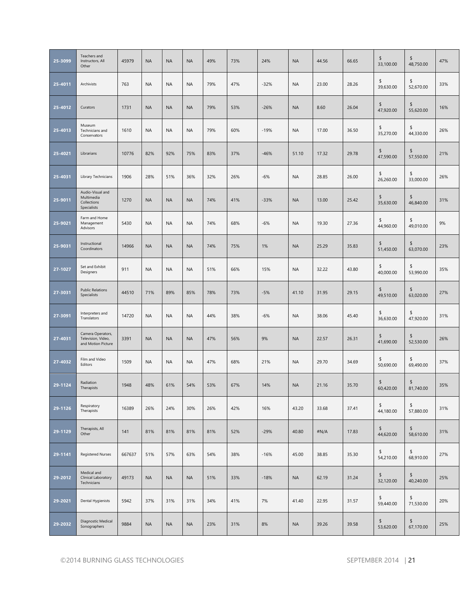|         | Teachers and                                                  |        |           |           |           |     |     |        |           |       |       | \$              | \$              |     |
|---------|---------------------------------------------------------------|--------|-----------|-----------|-----------|-----|-----|--------|-----------|-------|-------|-----------------|-----------------|-----|
| 25-3099 | Instructors, All<br>Other                                     | 45979  | <b>NA</b> | <b>NA</b> | <b>NA</b> | 49% | 73% | 24%    | <b>NA</b> | 44.56 | 66.65 | 33,100.00       | 48,750.00       | 47% |
| 25-4011 | Archivists                                                    | 763    | <b>NA</b> | <b>NA</b> | <b>NA</b> | 79% | 47% | $-32%$ | <b>NA</b> | 23.00 | 28.26 | \$<br>39,630.00 | \$<br>52,670.00 | 33% |
| 25-4012 | Curators                                                      | 1731   | <b>NA</b> | <b>NA</b> | <b>NA</b> | 79% | 53% | $-26%$ | <b>NA</b> | 8.60  | 26.04 | \$<br>47,920.00 | \$<br>55,620.00 | 16% |
| 25-4013 | Museum<br>Technicians and<br>Conservators                     | 1610   | <b>NA</b> | <b>NA</b> | <b>NA</b> | 79% | 60% | $-19%$ | <b>NA</b> | 17.00 | 36.50 | \$<br>35,270.00 | \$<br>44,330.00 | 26% |
| 25-4021 | Librarians                                                    | 10776  | 82%       | 92%       | 75%       | 83% | 37% | $-46%$ | 51.10     | 17.32 | 29.78 | \$<br>47,590.00 | \$<br>57,550.00 | 21% |
| 25-4031 | Library Technicians                                           | 1906   | 28%       | 51%       | 36%       | 32% | 26% | $-6%$  | <b>NA</b> | 28.85 | 26.00 | \$<br>26,260.00 | \$<br>33,000.00 | 26% |
| 25-9011 | Audio-Visual and<br>Multimedia<br>Collections<br>Specialists  | 1270   | <b>NA</b> | <b>NA</b> | <b>NA</b> | 74% | 41% | $-33%$ | <b>NA</b> | 13.00 | 25.42 | \$<br>35,630.00 | \$<br>46,840.00 | 31% |
| 25-9021 | Farm and Home<br>Management<br>Advisors                       | 5430   | <b>NA</b> | <b>NA</b> | <b>NA</b> | 74% | 68% | $-6%$  | <b>NA</b> | 19.30 | 27.36 | \$<br>44,960.00 | \$<br>49,010.00 | 9%  |
| 25-9031 | Instructional<br>Coordinators                                 | 14966  | <b>NA</b> | <b>NA</b> | <b>NA</b> | 74% | 75% | 1%     | <b>NA</b> | 25.29 | 35.83 | \$<br>51,450.00 | \$<br>63,070.00 | 23% |
| 27-1027 | Set and Exhibit<br>Designers                                  | 911    | <b>NA</b> | <b>NA</b> | <b>NA</b> | 51% | 66% | 15%    | <b>NA</b> | 32.22 | 43.80 | \$<br>40,000.00 | \$<br>53,990.00 | 35% |
| 27-3031 | <b>Public Relations</b><br>Specialists                        | 44510  | 71%       | 89%       | 85%       | 78% | 73% | $-5%$  | 41.10     | 31.95 | 29.15 | \$<br>49,510.00 | \$<br>63,020.00 | 27% |
| 27-3091 | Interpreters and<br>Translators                               | 14720  | <b>NA</b> | <b>NA</b> | <b>NA</b> | 44% | 38% | $-6%$  | <b>NA</b> | 38.06 | 45.40 | \$<br>36,630.00 | \$<br>47,920.00 | 31% |
| 27-4031 | Camera Operators,<br>Television, Video,<br>and Motion Picture | 3391   | <b>NA</b> | <b>NA</b> | <b>NA</b> | 47% | 56% | 9%     | <b>NA</b> | 22.57 | 26.31 | \$<br>41,690.00 | \$<br>52,530.00 | 26% |
| 27-4032 | Film and Video<br>Editors                                     | 1509   | <b>NA</b> | <b>NA</b> | <b>NA</b> | 47% | 68% | 21%    | <b>NA</b> | 29.70 | 34.69 | \$<br>50,690.00 | \$<br>69,490.00 | 37% |
| 29-1124 | Radiation<br>Therapists                                       | 1948   | 48%       | 61%       | 54%       | 53% | 67% | 14%    | <b>NA</b> | 21.16 | 35.70 | \$<br>60,420.00 | \$<br>81,740.00 | 35% |
| 29-1126 | Respiratory<br>Therapists                                     | 16389  | 26%       | 24%       | 30%       | 26% | 42% | 16%    | 43.20     | 33.68 | 37.41 | \$<br>44,180.00 | \$<br>57,880.00 | 31% |
| 29-1129 | Therapists, All<br>Other                                      | 141    | 81%       | 81%       | 81%       | 81% | 52% | $-29%$ | 40.80     | #N/A  | 17.83 | \$<br>44,620.00 | \$<br>58,610.00 | 31% |
| 29-1141 | <b>Registered Nurses</b>                                      | 667637 | 51%       | 57%       | 63%       | 54% | 38% | $-16%$ | 45.00     | 38.85 | 35.30 | \$<br>54,210.00 | \$<br>68,910.00 | 27% |
| 29-2012 | Medical and<br>Clinical Laboratory<br>Technicians             | 49173  | <b>NA</b> | <b>NA</b> | <b>NA</b> | 51% | 33% | $-18%$ | <b>NA</b> | 62.19 | 31.24 | \$<br>32,120.00 | \$<br>40,240.00 | 25% |
| 29-2021 | Dental Hygienists                                             | 5942   | 37%       | 31%       | 31%       | 34% | 41% | 7%     | 41.40     | 22.95 | 31.57 | \$<br>59,440.00 | \$<br>71,530.00 | 20% |
| 29-2032 | Diagnostic Medical<br>Sonographers                            | 9884   | <b>NA</b> | <b>NA</b> | <b>NA</b> | 23% | 31% | 8%     | <b>NA</b> | 39.26 | 39.58 | \$<br>53,620.00 | \$<br>67,170.00 | 25% |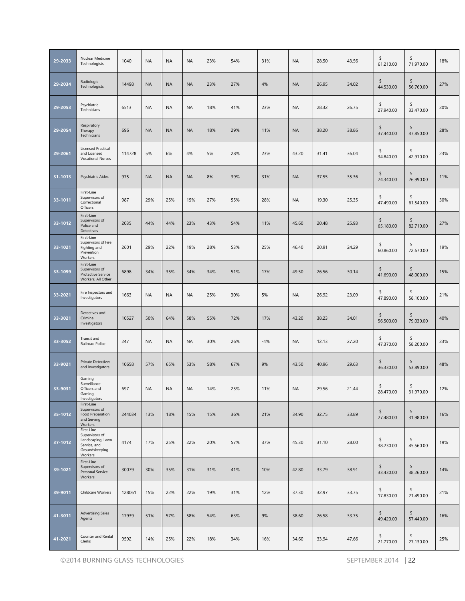| 29-2033 | Nuclear Medicine<br>Technologists                                                                         | 1040   | <b>NA</b> | <b>NA</b> | <b>NA</b> | 23% | 54% | 31%   | <b>NA</b> | 28.50 | 43.56 | \$<br>61,210.00 | \$<br>71,970.00 | 18% |
|---------|-----------------------------------------------------------------------------------------------------------|--------|-----------|-----------|-----------|-----|-----|-------|-----------|-------|-------|-----------------|-----------------|-----|
| 29-2034 | Radiologic<br>Technologists                                                                               | 14498  | <b>NA</b> | <b>NA</b> | <b>NA</b> | 23% | 27% | 4%    | <b>NA</b> | 26.95 | 34.02 | \$<br>44,530.00 | \$<br>56,760.00 | 27% |
| 29-2053 | Psychiatric<br>Technicians                                                                                | 6513   | <b>NA</b> | <b>NA</b> | <b>NA</b> | 18% | 41% | 23%   | <b>NA</b> | 28.32 | 26.75 | \$<br>27,940.00 | \$<br>33,470.00 | 20% |
| 29-2054 | Respiratory<br>Therapy<br>Technicians                                                                     | 696    | <b>NA</b> | <b>NA</b> | <b>NA</b> | 18% | 29% | 11%   | <b>NA</b> | 38.20 | 38.86 | \$<br>37,440.00 | \$<br>47,850.00 | 28% |
| 29-2061 | <b>Licensed Practical</b><br>and Licensed<br><b>Vocational Nurses</b>                                     | 114728 | 5%        | 6%        | 4%        | 5%  | 28% | 23%   | 43.20     | 31.41 | 36.04 | \$<br>34,840.00 | \$<br>42,910.00 | 23% |
| 31-1013 | <b>Psychiatric Aides</b>                                                                                  | 975    | <b>NA</b> | <b>NA</b> | <b>NA</b> | 8%  | 39% | 31%   | <b>NA</b> | 37.55 | 35.36 | \$<br>24,340.00 | \$<br>26,990.00 | 11% |
| 33-1011 | First-Line<br>Supervisors of<br>Correctional<br>Officers                                                  | 987    | 29%       | 25%       | 15%       | 27% | 55% | 28%   | <b>NA</b> | 19.30 | 25.35 | \$<br>47,490.00 | \$<br>61,540.00 | 30% |
| 33-1012 | First-Line<br>Supervisors of<br>Police and<br>Detectives                                                  | 2035   | 44%       | 44%       | 23%       | 43% | 54% | 11%   | 45.60     | 20.48 | 25.93 | \$<br>65,180.00 | \$<br>82,710.00 | 27% |
| 33-1021 | First-Line<br>Supervisors of Fire<br>Fighting and<br>Prevention<br>Workers                                | 2601   | 29%       | 22%       | 19%       | 28% | 53% | 25%   | 46.40     | 20.91 | 24.29 | \$<br>60,860.00 | \$<br>72,670.00 | 19% |
| 33-1099 | First-Line<br>Supervisors of<br>Protective Service<br>Workers, All Other                                  | 6898   | 34%       | 35%       | 34%       | 34% | 51% | 17%   | 49.50     | 26.56 | 30.14 | \$<br>41,690.00 | \$<br>48,000.00 | 15% |
| 33-2021 | Fire Inspectors and<br>Investigators                                                                      | 1663   | <b>NA</b> | <b>NA</b> | <b>NA</b> | 25% | 30% | 5%    | <b>NA</b> | 26.92 | 23.09 | \$<br>47,890.00 | \$<br>58,100.00 | 21% |
| 33-3021 | Detectives and<br>Criminal<br>Investigators                                                               | 10527  | 50%       | 64%       | 58%       | 55% | 72% | 17%   | 43.20     | 38.23 | 34.01 | \$<br>56,500.00 | \$<br>79,030.00 | 40% |
| 33-3052 | Transit and<br>Railroad Police                                                                            | 247    | <b>NA</b> | <b>NA</b> | <b>NA</b> | 30% | 26% | $-4%$ | <b>NA</b> | 12.13 | 27.20 | \$<br>47,370.00 | \$<br>58,200.00 | 23% |
| 33-9021 | <b>Private Detectives</b><br>and Investigators                                                            | 10658  | 57%       | 65%       | 53%       | 58% | 67% | 9%    | 43.50     | 40.96 | 29.63 | \$<br>36,330.00 | \$<br>53,890.00 | 48% |
| 33-9031 | Gaming<br>Surveillance<br>Officers and<br>Gaming<br>Investigators                                         | 697    | <b>NA</b> | NA        | <b>NA</b> | 14% | 25% | 11%   | <b>NA</b> | 29.56 | 21.44 | \$<br>28,470.00 | \$<br>31,970.00 | 12% |
| 35-1012 | First-Line<br>Supervisors of<br>Food Preparation<br>and Serving                                           | 244034 | 13%       | 18%       | 15%       | 15% | 36% | 21%   | 34.90     | 32.75 | 33.89 | \$<br>27,480.00 | \$<br>31,980.00 | 16% |
| 37-1012 | Workers<br>First-Line<br>Supervisors of<br>Landscaping, Lawn<br>Service, and<br>Groundskeeping<br>Workers | 4174   | 17%       | 25%       | 22%       | 20% | 57% | 37%   | 45.30     | 31.10 | 28.00 | \$<br>38,230.00 | \$<br>45,560.00 | 19% |
| 39-1021 | First-Line<br>Supervisors of<br>Personal Service<br>Workers                                               | 30079  | 30%       | 35%       | 31%       | 31% | 41% | 10%   | 42.80     | 33.79 | 38.91 | \$<br>33,430.00 | \$<br>38,260.00 | 14% |
| 39-9011 | Childcare Workers                                                                                         | 128061 | 15%       | 22%       | 22%       | 19% | 31% | 12%   | 37.30     | 32.97 | 33.75 | \$<br>17,830.00 | \$<br>21,490.00 | 21% |
| 41-3011 | <b>Advertising Sales</b><br>Agents                                                                        | 17939  | 51%       | 57%       | 58%       | 54% | 63% | 9%    | 38.60     | 26.58 | 33.75 | \$<br>49,420.00 | \$<br>57,440.00 | 16% |
| 41-2021 | Counter and Rental<br>Clerks                                                                              | 9592   | 14%       | 25%       | 22%       | 18% | 34% | 16%   | 34.60     | 33.94 | 47.66 | \$<br>21,770.00 | \$<br>27,130.00 | 25% |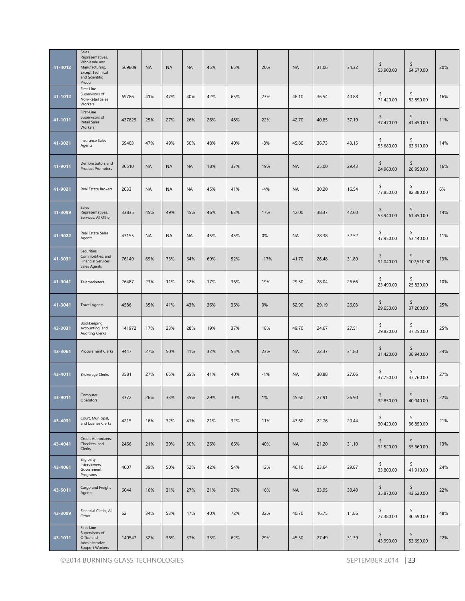| 41-4012 | Sales<br>Representatives,<br>Wholesale and<br>Manufacturing,<br><b>Except Technical</b><br>and Scientific<br>Produ | 569809 | <b>NA</b> | <b>NA</b> | <b>NA</b> | 45% | 65% | 20%    | <b>NA</b> | 31.06 | 34.32 | \$<br>53,900.00 | \$<br>64,670.00  | 20% |
|---------|--------------------------------------------------------------------------------------------------------------------|--------|-----------|-----------|-----------|-----|-----|--------|-----------|-------|-------|-----------------|------------------|-----|
| 41-1012 | First-Line<br>Supervisors of<br>Non-Retail Sales<br>Workers                                                        | 69786  | 41%       | 47%       | 40%       | 42% | 65% | 23%    | 46.10     | 36.54 | 40.88 | \$<br>71,420.00 | \$<br>82.890.00  | 16% |
| 41-1011 | First-Line<br>Supervisors of<br>Retail Sales<br>Workers                                                            | 437829 | 25%       | 27%       | 26%       | 26% | 48% | 22%    | 42.70     | 40.85 | 37.19 | \$<br>37,470.00 | \$<br>41,450.00  | 11% |
| 41-3021 | Insurance Sales<br>Agents                                                                                          | 69403  | 47%       | 49%       | 50%       | 48% | 40% | $-8%$  | 45.80     | 36.73 | 43.15 | \$<br>55,680.00 | \$<br>63,610.00  | 14% |
| 41-9011 | Demonstrators and<br><b>Product Promoters</b>                                                                      | 30510  | <b>NA</b> | <b>NA</b> | <b>NA</b> | 18% | 37% | 19%    | <b>NA</b> | 25.00 | 29.43 | \$<br>24,960.00 | \$<br>28,950.00  | 16% |
| 41-9021 | Real Estate Brokers                                                                                                | 2033   | <b>NA</b> | <b>NA</b> | <b>NA</b> | 45% | 41% | $-4%$  | <b>NA</b> | 30.20 | 16.54 | \$<br>77,850.00 | \$<br>82,380.00  | 6%  |
| 41-3099 | Sales<br>Representatives,<br>Services, All Other                                                                   | 33835  | 45%       | 49%       | 45%       | 46% | 63% | 17%    | 42.00     | 38.37 | 42.60 | \$<br>53,940.00 | \$<br>61,450.00  | 14% |
| 41-9022 | Real Estate Sales<br>Agents                                                                                        | 43155  | <b>NA</b> | <b>NA</b> | <b>NA</b> | 45% | 45% | 0%     | <b>NA</b> | 28.38 | 32.52 | \$<br>47,950.00 | \$<br>53.140.00  | 11% |
| 41-3031 | Securities,<br>Commodities, and<br><b>Financial Services</b><br>Sales Agents                                       | 76149  | 69%       | 73%       | 64%       | 69% | 52% | $-17%$ | 41.70     | 26.48 | 31.89 | \$<br>91,040.00 | \$<br>102,510.00 | 13% |
| 41-9041 | Telemarketers                                                                                                      | 26487  | 23%       | 11%       | 12%       | 17% | 36% | 19%    | 29.30     | 28.04 | 26.66 | \$<br>23,490.00 | \$<br>25,830.00  | 10% |
| 41-3041 | <b>Travel Agents</b>                                                                                               | 4586   | 35%       | 41%       | 43%       | 36% | 36% | 0%     | 52.90     | 29.19 | 26.03 | \$<br>29,650.00 | \$<br>37,200.00  | 25% |
| 43-3031 | Bookkeeping,<br>Accounting, and<br><b>Auditing Clerks</b>                                                          | 141972 | 17%       | 23%       | 28%       | 19% | 37% | 18%    | 49.70     | 24.67 | 27.51 | \$<br>29,830.00 | \$<br>37,250.00  | 25% |
| 43-3061 | Procurement Clerks                                                                                                 | 9447   | 27%       | 50%       | 41%       | 32% | 55% | 23%    | <b>NA</b> | 22.37 | 31.80 | \$<br>31,420.00 | \$<br>38,940.00  | 24% |
| 43-4011 | <b>Brokerage Clerks</b>                                                                                            | 3581   | 27%       | 65%       | 65%       | 41% | 40% | $-1%$  | <b>NA</b> | 30.88 | 27.06 | \$<br>37,750.00 | \$<br>47,760.00  | 27% |
| 43-9011 | Computer<br>Operators                                                                                              | 3372   | 26%       | 33%       | 35%       | 29% | 30% | 1%     | 45.60     | 27.91 | 26.90 | \$<br>32,850.00 | \$<br>40,040.00  | 22% |
| 43-4031 | Court, Municipal,<br>and License Clerks                                                                            | 4215   | 16%       | 32%       | 41%       | 21% | 32% | 11%    | 47.60     | 22.76 | 20.44 | \$<br>30,420.00 | \$<br>36,850.00  | 21% |
| 43-4041 | Credit Authorizers,<br>Checkers, and<br>Clerks                                                                     | 2466   | 21%       | 39%       | 30%       | 26% | 66% | 40%    | <b>NA</b> | 21.20 | 31.10 | \$<br>31,520.00 | \$<br>35,660.00  | 13% |
| 43-4061 | Eligibility<br>Interviewers,<br>Government<br>Programs                                                             | 4007   | 39%       | 50%       | 52%       | 42% | 54% | 12%    | 46.10     | 23.64 | 29.87 | \$<br>33,800.00 | \$<br>41,910.00  | 24% |
| 43-5011 | Cargo and Freight<br>Agents                                                                                        | 6044   | 16%       | 31%       | 27%       | 21% | 37% | 16%    | <b>NA</b> | 33.95 | 30.40 | \$<br>35,870.00 | \$<br>43,620.00  | 22% |
| 43-3099 | Financial Clerks, All<br>Other                                                                                     | 62     | 34%       | 53%       | 47%       | 40% | 72% | 32%    | 40.70     | 16.75 | 11.86 | \$<br>27,380.00 | \$<br>40,590.00  | 48% |
| 43-1011 | First-Line<br>Supervisors of<br>Office and<br>Administrative<br>Support Workers                                    | 140547 | 32%       | 36%       | 37%       | 33% | 62% | 29%    | 45.30     | 27.49 | 31.39 | \$<br>43,990.00 | \$<br>53,690.00  | 22% |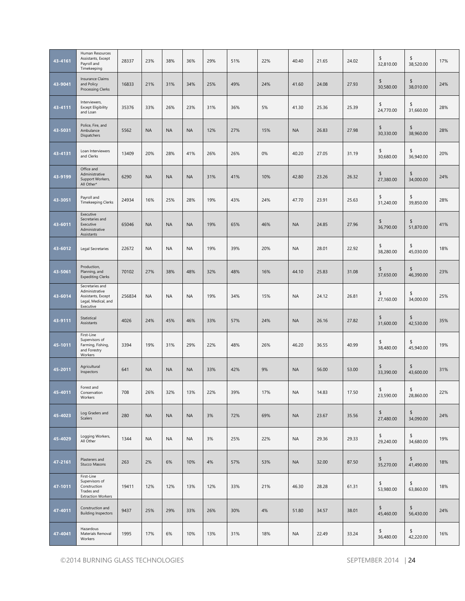| 43-4161 | Human Resources<br>Assistants, Except<br>Payroll and<br>Timekeeping                         | 28337  | 23%       | 38%       | 36%       | 29% | 51% | 22% | 40.40     | 21.65 | 24.02 | \$<br>32,810.00            | \$<br>38,520.00 | 17% |
|---------|---------------------------------------------------------------------------------------------|--------|-----------|-----------|-----------|-----|-----|-----|-----------|-------|-------|----------------------------|-----------------|-----|
| 43-9041 | <b>Insurance Claims</b><br>and Policy<br><b>Processing Clerks</b>                           | 16833  | 21%       | 31%       | 34%       | 25% | 49% | 24% | 41.60     | 24.08 | 27.93 | \$<br>30,580.00            | \$<br>38,010.00 | 24% |
| 43-4111 | Interviewers,<br><b>Except Eligibility</b><br>and Loan                                      | 35376  | 33%       | 26%       | 23%       | 31% | 36% | 5%  | 41.30     | 25.36 | 25.39 | \$<br>24,770.00            | \$<br>31,660.00 | 28% |
| 43-5031 | Police, Fire, and<br>Ambulance<br>Dispatchers                                               | 5562   | <b>NA</b> | <b>NA</b> | <b>NA</b> | 12% | 27% | 15% | <b>NA</b> | 26.83 | 27.98 | \$<br>30,330.00            | \$<br>38,960.00 | 28% |
| 43-4131 | Loan Interviewers<br>and Clerks                                                             | 13409  | 20%       | 28%       | 41%       | 26% | 26% | 0%  | 40.20     | 27.05 | 31.19 | \$<br>30,680.00            | \$<br>36,940.00 | 20% |
| 43-9199 | Office and<br>Administrative<br>Support Workers,<br>All Other*                              | 6290   | <b>NA</b> | <b>NA</b> | <b>NA</b> | 31% | 41% | 10% | 42.80     | 23.26 | 26.32 | \$<br>27,380.00            | \$<br>34,000.00 | 24% |
| 43-3051 | Payroll and<br><b>Timekeeping Clerks</b>                                                    | 24934  | 16%       | 25%       | 28%       | 19% | 43% | 24% | 47.70     | 23.91 | 25.63 | \$<br>31,240.00            | \$<br>39,850.00 | 28% |
| 43-6011 | Executive<br>Secretaries and<br>Executive<br>Administrative<br>Assistants                   | 65046  | <b>NA</b> | <b>NA</b> | <b>NA</b> | 19% | 65% | 46% | <b>NA</b> | 24.85 | 27.96 | \$<br>36,790.00            | \$<br>51,870.00 | 41% |
| 43-6012 | <b>Legal Secretaries</b>                                                                    | 22672  | <b>NA</b> | <b>NA</b> | <b>NA</b> | 19% | 39% | 20% | <b>NA</b> | 28.01 | 22.92 | \$<br>38,280.00            | \$<br>45.030.00 | 18% |
| 43-5061 | Production,<br>Planning, and<br><b>Expediting Clerks</b>                                    | 70102  | 27%       | 38%       | 48%       | 32% | 48% | 16% | 44.10     | 25.83 | 31.08 | \$<br>37,650.00            | \$<br>46,390.00 | 23% |
| 43-6014 | Secretaries and<br>Administrative<br>Assistants, Except<br>Legal, Medical, and<br>Executive | 256834 | <b>NA</b> | <b>NA</b> | <b>NA</b> | 19% | 34% | 15% | <b>NA</b> | 24.12 | 26.81 | \$<br>27,160.00            | \$<br>34,000.00 | 25% |
| 43-9111 | Statistical<br>Assistants                                                                   | 4026   | 24%       | 45%       | 46%       | 33% | 57% | 24% | <b>NA</b> | 26.16 | 27.82 | \$<br>31,600.00            | \$<br>42,530.00 | 35% |
| 45-1011 | First-Line<br>Supervisors of<br>Farming, Fishing,<br>and Forestry<br>Workers                | 3394   | 19%       | 31%       | 29%       | 22% | 48% | 26% | 46.20     | 36.55 | 40.99 | \$<br>38,480.00            | \$<br>45,940.00 | 19% |
| 45-2011 | Agricultural<br>Inspectors                                                                  | 641    | <b>NA</b> | <b>NA</b> | <b>NA</b> | 33% | 42% | 9%  | <b>NA</b> | 56.00 | 53.00 | \$<br>33,390.00            | \$<br>43,600.00 | 31% |
| 45-4011 | Forest and<br>Conservation<br>Workers                                                       | 708    | 26%       | 32%       | 13%       | 22% | 39% | 17% | <b>NA</b> | 14.83 | 17.50 | $\frac{1}{2}$<br>23,590.00 | \$<br>28,860.00 | 22% |
| 45-4023 | Log Graders and<br>Scalers                                                                  | 280    | <b>NA</b> | <b>NA</b> | <b>NA</b> | 3%  | 72% | 69% | <b>NA</b> | 23.67 | 35.56 | \$<br>27,480.00            | \$<br>34,090.00 | 24% |
| 45-4029 | Logging Workers,<br>All Other                                                               | 1344   | <b>NA</b> | <b>NA</b> | <b>NA</b> | 3%  | 25% | 22% | <b>NA</b> | 29.36 | 29.33 | \$<br>29,240.00            | \$<br>34,680.00 | 19% |
| 47-2161 | Plasterers and<br>Stucco Masons                                                             | 263    | 2%        | 6%        | 10%       | 4%  | 57% | 53% | <b>NA</b> | 32.00 | 87.50 | \$<br>35,270.00            | \$<br>41,490.00 | 18% |
| 47-1011 | First-Line<br>Supervisors of<br>Construction<br>Trades and<br><b>Extraction Workers</b>     | 19411  | 12%       | 12%       | 13%       | 12% | 33% | 21% | 46.30     | 28.28 | 61.31 | \$<br>53,980.00            | \$<br>63,860.00 | 18% |
| 47-4011 | Construction and<br><b>Building Inspectors</b>                                              | 9437   | 25%       | 29%       | 33%       | 26% | 30% | 4%  | 51.80     | 34.57 | 38.01 | \$<br>45,460.00            | \$<br>56,430.00 | 24% |
| 47-4041 | Hazardous<br>Materials Removal<br>Workers                                                   | 1995   | 17%       | 6%        | 10%       | 13% | 31% | 18% | <b>NA</b> | 22.49 | 33.24 | \$<br>36,480.00            | \$<br>42,220.00 | 16% |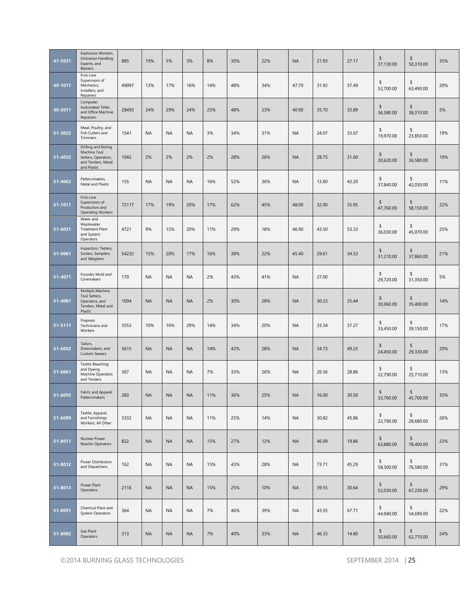| 47-5031     | Explosives Workers,<br>Ordnance Handling<br>Experts, and<br>Blasters                            | 885   | 19%       | 5%        | 3%        | 8%  | 30% | 22% | <b>NA</b> | 21.93 | 27.17 | \$<br>37,130.00 | \$<br>50,310.00 | 35% |
|-------------|-------------------------------------------------------------------------------------------------|-------|-----------|-----------|-----------|-----|-----|-----|-----------|-------|-------|-----------------|-----------------|-----|
| 49-1011     | First-Line<br>Supervisors of<br>Mechanics,<br>Installers, and<br>Repairers                      | 49097 | 13%       | 17%       | 16%       | 14% | 48% | 34% | 47.70     | 31.92 | 37.49 | \$<br>52,700.00 | \$<br>63,490.00 | 20% |
| 49-2011     | Computer,<br>Automated Teller,<br>and Office Machine<br>Repairers                               | 28493 | 24%       | 29%       | 24%       | 25% | 48% | 23% | 40.90     | 35.70 | 33.89 | \$<br>36,580.00 | \$<br>38,310.00 | 5%  |
| 51-3022     | Meat, Poultry, and<br>Fish Cutters and<br>Trimmers                                              | 1541  | <b>NA</b> | <b>NA</b> | <b>NA</b> | 3%  | 34% | 31% | <b>NA</b> | 24.07 | 33.67 | \$<br>19,970.00 | \$<br>23,850.00 | 19% |
| 51-4032     | Drilling and Boring<br>Machine Tool<br>Setters, Operators,<br>and Tenders, Metal<br>and Plastic | 1042  | 2%        | 2%        | 2%        | 2%  | 28% | 26% | <b>NA</b> | 28.75 | 31.60 | \$<br>30,620.00 | \$<br>36,580.00 | 19% |
| 51-4062     | Patternmakers,<br>Metal and Plastic                                                             | 155   | <b>NA</b> | <b>NA</b> | <b>NA</b> | 16% | 52% | 36% | <b>NA</b> | 13.60 | 43.20 | \$<br>37,840.00 | \$<br>42,030.00 | 11% |
| 51-1011     | First-Line<br>Supervisors of<br>Production and<br><b>Operating Workers</b>                      | 72117 | 17%       | 19%       | 20%       | 17% | 62% | 45% | 48.00     | 32.00 | 35.95 | \$<br>47,760.00 | \$<br>58,150.00 | 22% |
| 51-8031     | Water and<br>Wastewater<br><b>Treatment Plant</b><br>and System<br>Operators                    | 4721  | 9%        | 15%       | 20%       | 11% | 29% | 18% | 46.90     | 43.50 | 53.33 | \$<br>36,030.00 | \$<br>45,070.00 | 25% |
| 51-9061     | Inspectors, Testers,<br>Sorters, Samplers,<br>and Weighers                                      | 54232 | 15%       | 20%       | 17%       | 16% | 38% | 22% | 45.40     | 29.61 | 34.53 | \$<br>31,210.00 | \$<br>37,860.00 | 21% |
| $51 - 4071$ | Foundry Mold and<br>Coremakers                                                                  | 170   | <b>NA</b> | <b>NA</b> | <b>NA</b> | 2%  | 43% | 41% | <b>NA</b> | 27.00 |       | \$<br>29,720.00 | \$<br>31,350.00 | 5%  |
| 51-4081     | Multiple Machine<br>Tool Setters,<br>Operators, and<br>Tenders, Metal and<br>Plastic            | 1004  | <b>NA</b> | <b>NA</b> | <b>NA</b> | 2%  | 30% | 28% | <b>NA</b> | 30.23 | 35.44 | \$<br>30,960.00 | \$<br>35,400.00 | 14% |
| 51-5111     | Prepress<br>Technicians and<br>Workers                                                          | 3553  | 10%       | 16%       | 29%       | 14% | 34% | 20% | <b>NA</b> | 33.34 | 37.27 | \$<br>33,450.00 | \$<br>39,150.00 | 17% |
| 51-6052     | Tailors,<br>Dressmakers, and<br><b>Custom Sewers</b>                                            | 5615  | <b>NA</b> | <b>NA</b> | <b>NA</b> | 14% | 42% | 28% | <b>NA</b> | 24.73 | 49.25 | \$<br>24,450.00 | \$<br>29,330.00 | 20% |
| 51-6061     | <b>Textile Bleaching</b><br>and Dyeing<br>Machine Operators<br>and Tenders                      | 367   | <b>NA</b> | <b>NA</b> | <b>NA</b> | 7%  | 33% | 26% | <b>NA</b> | 26.56 | 28.86 | \$<br>22,790.00 | \$<br>25,710.00 | 13% |
| 51-6092     | Fabric and Apparel<br>Patternmakers                                                             | 283   | <b>NA</b> | <b>NA</b> | <b>NA</b> | 11% | 36% | 25% | <b>NA</b> | 16.00 | 30.50 | \$<br>33,760.00 | \$<br>45,700.00 | 35% |
| 51-6099     | Textile, Apparel,<br>and Furnishings<br>Workers, All Other                                      | 3332  | <b>NA</b> | <b>NA</b> | <b>NA</b> | 11% | 25% | 14% | <b>NA</b> | 30.82 | 45.86 | \$<br>22,790.00 | \$<br>28,680.00 | 26% |
| 51-8011     | Nuclear Power<br>Reactor Operators                                                              | 822   | <b>NA</b> | <b>NA</b> | <b>NA</b> | 15% | 27% | 12% | <b>NA</b> | 46.09 | 19.86 | \$<br>63,880.00 | \$<br>78,400.00 | 23% |
| 51-8012     | Power Distributors<br>and Dispatchers                                                           | 162   | <b>NA</b> | <b>NA</b> | <b>NA</b> | 15% | 43% | 28% | <b>NA</b> | 73.71 | 45.29 | \$<br>58,300.00 | \$<br>76,580.00 | 31% |
| 51-8013     | Power Plant<br>Operators                                                                        | 2116  | <b>NA</b> | <b>NA</b> | <b>NA</b> | 15% | 25% | 10% | <b>NA</b> | 39.55 | 30.64 | \$<br>52,030.00 | \$<br>67,230.00 | 29% |
| 51-8091     | Chemical Plant and<br>System Operators                                                          | 364   | <b>NA</b> | <b>NA</b> | <b>NA</b> | 7%  | 46% | 39% | <b>NA</b> | 43.55 | 67.71 | \$<br>44,940.00 | \$<br>54,690.00 | 22% |
| 51-8092     | Gas Plant<br>Operators                                                                          | 313   | <b>NA</b> | <b>NA</b> | <b>NA</b> | 7%  | 40% | 33% | <b>NA</b> | 46.33 | 14.80 | \$<br>50,660.00 | \$<br>62,770.00 | 24% |